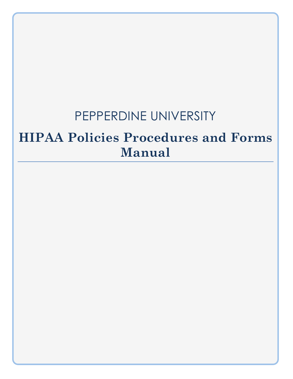# PEPPERDINE UNIVERSITY

# **HIPAA Policies Procedures and Forms Manual**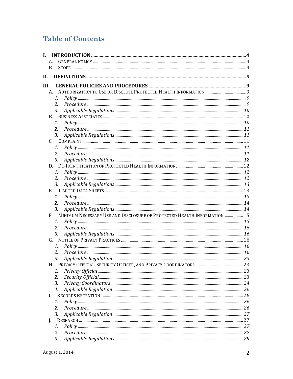# **Table of Contents**

| L.   |                                                                          |  |
|------|--------------------------------------------------------------------------|--|
|      |                                                                          |  |
|      | B <sub>r</sub>                                                           |  |
| II.  |                                                                          |  |
| III. |                                                                          |  |
|      |                                                                          |  |
|      | 1.                                                                       |  |
|      | 2.                                                                       |  |
|      | 3.                                                                       |  |
|      | B.                                                                       |  |
|      | 1.                                                                       |  |
|      | $\overline{2}$ .                                                         |  |
|      | 3.                                                                       |  |
|      | C.                                                                       |  |
|      | 1.                                                                       |  |
|      | 2.                                                                       |  |
|      | 3.                                                                       |  |
|      |                                                                          |  |
|      | 1.                                                                       |  |
|      | 2.                                                                       |  |
|      | 3.                                                                       |  |
|      |                                                                          |  |
|      | 1.                                                                       |  |
|      | 2.<br>3.                                                                 |  |
|      | MINIMUM NECESSARY USE AND DISCLOSURE OF PROTECTED HEALTH INFORMATION  15 |  |
|      | F.<br>$\mathcal{I}$ .                                                    |  |
|      | 2.                                                                       |  |
|      | 3.                                                                       |  |
|      | G.                                                                       |  |
|      | 1.                                                                       |  |
|      | 2.                                                                       |  |
|      | 3.                                                                       |  |
|      |                                                                          |  |
|      | 1.                                                                       |  |
|      | 2.                                                                       |  |
|      | 3.                                                                       |  |
|      | 4.                                                                       |  |
|      | L.                                                                       |  |
|      | 1.                                                                       |  |
|      | 2.                                                                       |  |
|      | 3.                                                                       |  |
| J.   |                                                                          |  |
|      | 1.                                                                       |  |
|      | 2.                                                                       |  |
|      | 3.                                                                       |  |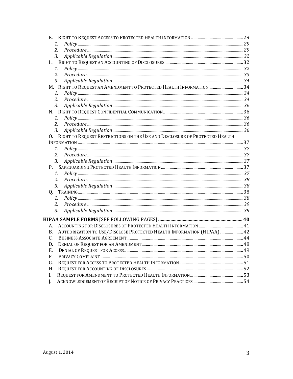| 1.                                                                                  |  |
|-------------------------------------------------------------------------------------|--|
| 2.                                                                                  |  |
| 3 <sub>r</sub>                                                                      |  |
|                                                                                     |  |
| 1.                                                                                  |  |
| 2.                                                                                  |  |
| 3.                                                                                  |  |
| M. RIGHT TO REQUEST AN AMENDMENT TO PROTECTED HEALTH INFORMATION34                  |  |
| 1.                                                                                  |  |
| 2.                                                                                  |  |
| 3.                                                                                  |  |
|                                                                                     |  |
| $\mathbf{1}$ .                                                                      |  |
| 2.                                                                                  |  |
| 3 <sub>l</sub>                                                                      |  |
| O. RIGHT TO REQUEST RESTRICTIONS ON THE USE AND DISCLOSURE OF PROTECTED HEALTH      |  |
|                                                                                     |  |
| 1.                                                                                  |  |
| 2.                                                                                  |  |
| 3.                                                                                  |  |
| P.                                                                                  |  |
| $1_{\cdot}$                                                                         |  |
| 2.                                                                                  |  |
| 3.                                                                                  |  |
|                                                                                     |  |
| 1.                                                                                  |  |
| 2.                                                                                  |  |
| 3.                                                                                  |  |
|                                                                                     |  |
| А.                                                                                  |  |
| AUTHORIZATION TO USE/DISCLOSE PROTECTED HEALTH INFORMATION (HIPAA)  42<br><b>B.</b> |  |
| С.                                                                                  |  |
| D.                                                                                  |  |
| Ε.                                                                                  |  |
| F.                                                                                  |  |
| G.                                                                                  |  |
| H.                                                                                  |  |
| I.                                                                                  |  |
|                                                                                     |  |
| J.                                                                                  |  |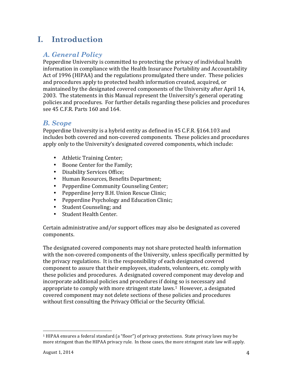# **I. Introduction**

# *A. General Policy*

Pepperdine University is committed to protecting the privacy of individual health information in compliance with the Health Insurance Portability and Accountability Act of 1996 (HIPAA) and the regulations promulgated there under. These policies and procedures apply to protected health information created, acquired, or maintained by the designated covered components of the University after April 14, 2003. The statements in this Manual represent the University's general operating policies and procedures. For further details regarding these policies and procedures see 45 C.F.R. Parts 160 and 164.

### *B. Scope*

Pepperdine University is a hybrid entity as defined in 45 C.F.R. §164.103 and includes both covered and non-covered components. These policies and procedures apply only to the University's designated covered components, which include:

- Athletic Training Center;
- Boone Center for the Family;
- Disability Services Office:
- Human Resources, Benefits Department;
- Pepperdine Community Counseling Center;
- Pepperdine Jerry B.H. Union Rescue Clinic;
- Pepperdine Psychology and Education Clinic;
- Student Counseling; and
- Student Health Center.

Certain administrative and/or support offices may also be designated as covered components.

The designated covered components may not share protected health information with the non-covered components of the University, unless specifically permitted by the privacy regulations. It is the responsibility of each designated covered component to assure that their employees, students, volunteers, etc. comply with these policies and procedures. A designated covered component may develop and incorporate additional policies and procedures if doing so is necessary and appropriate to comply with more stringent state laws.<sup>1</sup> However, a designated covered component may not delete sections of these policies and procedures without first consulting the Privacy Official or the Security Official.

  $1$  HIPAA ensures a federal standard (a "floor") of privacy protections. State privacy laws may be more stringent than the HIPAA privacy rule. In those cases, the more stringent state law will apply.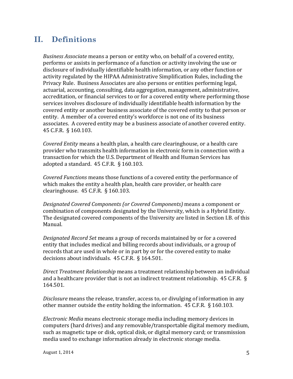# **II. Definitions**

*Business Associate* means a person or entity who, on behalf of a covered entity, performs or assists in performance of a function or activity involving the use or disclosure of individually identifiable health information, or any other function or activity regulated by the HIPAA Administrative Simplification Rules, including the Privacy Rule. Business Associates are also persons or entities performing legal, actuarial, accounting, consulting, data aggregation, management, administrative, accreditation, or financial services to or for a covered entity where performing those services involves disclosure of individually identifiable health information by the covered entity or another business associate of the covered entity to that person or entity. A member of a covered entity's workforce is not one of its business associates. A covered entity may be a business associate of another covered entity. 45 C.F.R. § 160.103. 

*Covered Entity* means a health plan, a health care clearinghouse, or a health care provider who transmits health information in electronic form in connection with a transaction for which the U.S. Department of Health and Human Services has adopted a standard.  $45$  C.F.R. § 160.103.

*Covered Functions* means those functions of a covered entity the performance of which makes the entity a health plan, health care provider, or health care clearinghouse.  $45$  C.F.R.  $\S$  160.103.

*Designated Covered Components (or Covered Components)* means a component or combination of components designated by the University, which is a Hybrid Entity. The designated covered components of the University are listed in Section I.B. of this Manual.

*Designated Record Set* means a group of records maintained by or for a covered entity that includes medical and billing records about individuals, or a group of records that are used in whole or in part by or for the covered entity to make decisions about individuals.  $45$  C.F.R. § 164.501.

*Direct Treatment Relationship* means a treatment relationship between an individual and a healthcare provider that is not an indirect treatment relationship.  $45$  C.F.R. § 164.501. 

*Disclosure* means the release, transfer, access to, or divulging of information in any other manner outside the entity holding the information.  $45$  C.F.R.  $\S$  160.103.

*Electronic Media* means electronic storage media including memory devices in computers (hard drives) and any removable/transportable digital memory medium, such as magnetic tape or disk, optical disk, or digital memory card; or transmission media used to exchange information already in electronic storage media.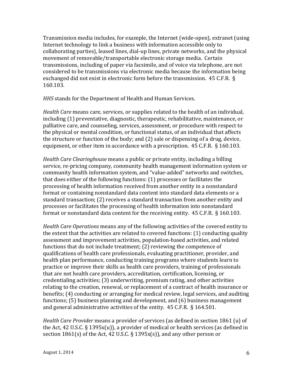Transmission media includes, for example, the Internet (wide-open), extranet (using Internet technology to link a business with information accessible only to collaborating parties), leased lines, dial-up lines, private networks, and the physical movement of removable/transportable electronic storage media. Certain transmissions, including of paper via facsimile, and of voice via telephone, are not considered to be transmissions via electronic media because the information being exchanged did not exist in electronic form before the transmission.  $45$  C.F.R. § 160.103.

*HHS* stands for the Department of Health and Human Services.

*Health Care* means care, services, or supplies related to the health of an individual, including (1) preventative, diagnostic, therapeutic, rehabilitative, maintenance, or palliative care, and counseling, services, assessment, or procedure with respect to the physical or mental condition, or functional status, of an individual that affects the structure or function of the body; and  $(2)$  sale or dispensing of a drug, device, equipment, or other item in accordance with a prescription.  $45$  C.F.R.  $\S$  160.103.

*Health Care Clearinghouse* means a public or private entity, including a billing service, re-pricing company, community health management information system or community health information system, and "value-added" networks and switches, that does either of the following functions:  $(1)$  processes or facilitates the processing of health information received from another entity in a nonstandard format or containing nonstandard data content into standard data elements or a standard transaction; (2) receives a standard transaction from another entity and processes or facilitates the processing of health information into nonstandard format or nonstandard data content for the receiving entity.  $45$  C.F.R. § 160.103.

*Health Care Operations* means any of the following activities of the covered entity to the extent that the activities are related to covered functions:  $(1)$  conducting quality assessment and improvement activities, population-based activities, and related functions that do not include treatment; (2) reviewing the competence of qualifications of health care professionals, evaluating practitioner, provider, and health plan performance, conducting training programs where students learn to practice or improve their skills as health care providers, training of professionals that are not health care providers, accreditation, certification, licensing, or credentialing activities; (3) underwriting, premium rating, and other activities relating to the creation, renewal, or replacement of a contract of health insurance or benefits; (4) conducting or arranging for medical review, legal services, and auditing functions;  $(5)$  business planning and development, and  $(6)$  business management and general administrative activities of the entity.  $45$  C.F.R. § 164.501.

*Health Care Provider* means a provider of services (as defined in section 1861 (u) of the Act, 42 U.S.C.  $\S$  1395 $x(u)$ ), a provider of medical or health services (as defined in section  $1861(s)$  of the Act, 42 U.S.C. § 1395x(s)), and any other person or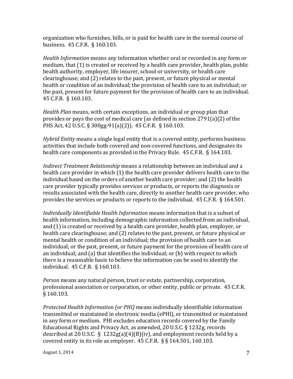organization who furnishes, bills, or is paid for health care in the normal course of business. 45 C.F.R. § 160.103.

*Health Information* means any information whether oral or recorded in any form or medium, that  $(1)$  is created or received by a health care provider, health plan, public health authority, employer, life insurer, school or university, or health care clearinghouse; and (2) relates to the past, present, or future physical or mental health or condition of an individual; the provision of health care to an individual; or the past, present for future payment for the provision of health care to an individual. 45 C.F.R. § 160.103.

*Health Plan* means, with certain exceptions, an individual or group plan that provides or pays the cost of medical care (as defined in section  $2791(a)(2)$  of the PHS Act, 42 U.S.C. § 300gg-91(a)(2)). 45 C.F.R. § 160.103.

*Hybrid Entity* means a single legal entity that is a covered entity, performs business activities that include both covered and non-covered functions, and designates its health care components as provided in the Privacy Rule.  $45$  C.F.R.  $\S$  164.103.

*Indirect Treatment Relationship* means a relationship between an individual and a health care provider in which  $(1)$  the health care provider delivers health care to the individual based on the orders of another health care provider; and (2) the health care provider typically provides services or products, or reports the diagnosis or results associated with the health care, directly to another health care provider, who provides the services or products or reports to the individual.  $45$  C.F.R.  $\S$  164.501.

*Individually Identifiable Health Information* means information that is a subset of health information, including demographic information collected from an individual, and (1) is created or received by a health care provider, health plan, employer, or health care clearinghouse; and (2) relates to the past, present, or future physical or mental health or condition of an individual; the provision of health care to an individual; or the past, present, or future payment for the provision of health care of an individual; and  $(a)$  that identifies the individual; or  $(b)$  with respect to which there is a reasonable basis to believe the information can be used to identify the individual. 45 C.F.R. § 160.103.

*Person* means any natural person, trust or estate, partnership, corporation, professional association or corporation, or other entity, public or private. 45 C.F.R. § 160.103.

*Protected Health Information (or PHI)* means individually identifiable information transmitted or maintained in electronic media (ePHI), or transmitted or maintained in any form or medium. PHI excludes education records covered by the Family Educational Rights and Privacy Act, as amended, 20 U.S.C. § 1232g, records described at 20 U.S.C. § 1232g(a)(4)(B)(iv), and employment records held by a covered entity in its role as employer.  $45$  C.F.R. § § 164.501, 160.103.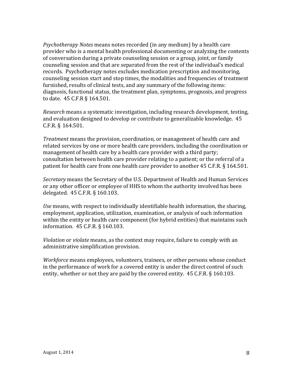*Psychotherapy Notes* means notes recorded (in any medium) by a health care provider who is a mental health professional documenting or analyzing the contents of conversation during a private counseling session or a group, joint, or family counseling session and that are separated from the rest of the individual's medical records. Psychotherapy notes excludes medication prescription and monitoring, counseling session start and stop times, the modalities and frequencies of treatment furnished, results of clinical tests, and any summary of the following items: diagnosis, functional status, the treatment plan, symptoms, prognosis, and progress to date. 45 C.F.R § 164.501.

*Research* means a systematic investigation, including research development, testing, and evaluation designed to develop or contribute to generalizable knowledge. 45 C.F.R. § 164.501.

*Treatment* means the provision, coordination, or management of health care and related services by one or more health care providers, including the coordination or management of health care by a health care provider with a third party; consultation between health care provider relating to a patient; or the referral of a patient for health care from one health care provider to another  $45$  C.F.R. § 164.501.

*Secretary* means the Secretary of the U.S. Department of Health and Human Services or any other officer or employee of HHS to whom the authority involved has been delegated. 45 C.F.R. § 160.103.

*Use* means, with respect to individually identifiable health information, the sharing, employment, application, utilization, examination, or analysis of such information within the entity or health care component (for hybrid entities) that maintains such information. 45 C.F.R. § 160.103.

*Violation* or *violate* means, as the context may require, failure to comply with an administrative simplification provision.

*Workforce* means employees, volunteers, trainees, or other persons whose conduct in the performance of work for a covered entity is under the direct control of such entity, whether or not they are paid by the covered entity.  $45$  C.F.R. § 160.103.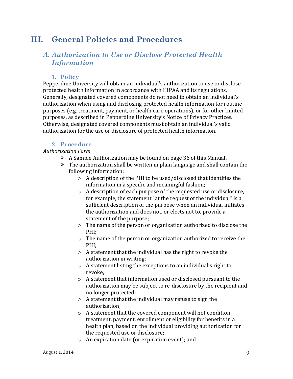# **III. General Policies and Procedures**

# *A. Authorization to Use or Disclose Protected Health Information*

#### 1. **Policy**

Pepperdine University will obtain an individual's authorization to use or disclose protected health information in accordance with HIPAA and its regulations. Generally, designated covered components do not need to obtain an individual's authorization when using and disclosing protected health information for routine purposes (e.g. treatment, payment, or health care operations), or for other limited purposes, as described in Pepperdine University's Notice of Privacy Practices. Otherwise, designated covered components must obtain an individual's valid authorization for the use or disclosure of protected health information.

#### 2. **Procedure**

#### *Authorization Form*

- $\triangleright$  A Sample Authorization may be found on page 36 of this Manual.
- $\triangleright$  The authorization shall be written in plain language and shall contain the following information:
	- $\circ$  A description of the PHI to be used/disclosed that identifies the information in a specific and meaningful fashion;
	- $\circ$  A description of each purpose of the requested use or disclosure, for example, the statement "at the request of the individual" is a sufficient description of the purpose when an individual initiates the authorization and does not, or elects not to, provide a statement of the purpose;
	- $\circ$  The name of the person or organization authorized to disclose the PHI;
	- $\circ$  The name of the person or organization authorized to receive the PHI;
	- $\circ$  A statement that the individual has the right to revoke the authorization in writing;
	- $\circ$  A statement listing the exceptions to an individual's right to revoke;
	- $\circ$  A statement that information used or disclosed pursuant to the authorization may be subject to re-disclosure by the recipient and no longer protected;
	- $\circ$  A statement that the individual may refuse to sign the authorization;
	- $\circ$  A statement that the covered component will not condition treatment, payment, enrollment or eligibility for benefits in a health plan, based on the individual providing authorization for the requested use or disclosure;
	- $\circ$  An expiration date (or expiration event); and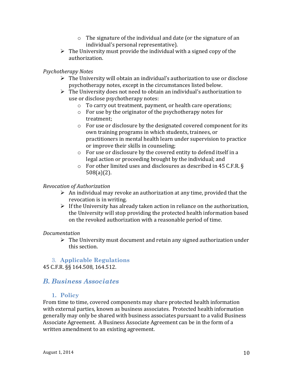- $\circ$  The signature of the individual and date (or the signature of an individual's personal representative).
- $\triangleright$  The University must provide the individual with a signed copy of the authorization.

#### *Psychotherapy Notes*

- $\triangleright$  The University will obtain an individual's authorization to use or disclose psychotherapy notes, except in the circumstances listed below.
- $\triangleright$  The University does not need to obtain an individual's authorization to use or disclose psychotherapy notes:
	- $\circ$  To carry out treatment, payment, or health care operations;
	- $\circ$  For use by the originator of the psychotherapy notes for treatment;
	- $\circ$  For use or disclosure by the designated covered component for its own training programs in which students, trainees, or practitioners in mental health learn under supervision to practice or improve their skills in counseling;
	- $\circ$  For use or disclosure by the covered entity to defend itself in a legal action or proceeding brought by the individual; and
	- $\circ$  For other limited uses and disclosures as described in 45 C.F.R. § 508(a)(2).

#### *Revocation of Authorization*

- $\triangleright$  An individual may revoke an authorization at any time, provided that the revocation is in writing.
- $\triangleright$  If the University has already taken action in reliance on the authorization, the University will stop providing the protected health information based on the revoked authorization with a reasonable period of time.

#### *Documentation*

 $\triangleright$  The University must document and retain any signed authorization under this section.

#### 3. **Applicable Regulations** 45 C.F.R. §§ 164.508, 164.512.

### *B. Business Associates*

#### **1. Policy**

From time to time, covered components may share protected health information with external parties, known as business associates. Protected health information generally may only be shared with business associates pursuant to a valid Business Associate Agreement. A Business Associate Agreement can be in the form of a written amendment to an existing agreement.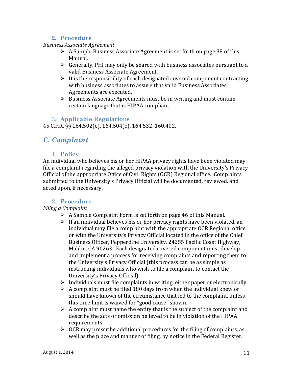#### **2. Procedure**

#### *Business Associate Agreement*

- $\triangleright$  A Sample Business Associate Agreement is set forth on page 38 of this Manual.
- $\triangleright$  Generally, PHI may only be shared with business associates pursuant to a valid Business Associate Agreement.
- $\triangleright$  It is the responsibility of each designated covered component contracting with business associates to assure that valid Business Associates Agreements are executed.
- $\triangleright$  Business Associate Agreements must be in writing and must contain certain language that is HIPAA compliant.

#### 3. **Applicable Regulations**

45 C.F.R. §§ 164.502(e), 164.504(e), 164.532, 160.402.

# *C. Complaint*

#### 1. **Policy**

An individual who believes his or her HIPAA privacy rights have been violated may file a complaint regarding the alleged privacy violation with the University's Privacy Official of the appropriate Office of Civil Rights (OCR) Regional office. Complaints submitted to the University's Privacy Official will be documented, reviewed, and acted upon, if necessary.

#### 2. **Procedure**

#### *Filing a Complaint*

- $\triangleright$  A Sample Complaint Form is set forth on page 46 of this Manual.
- $\triangleright$  If an individual believes his or her privacy rights have been violated, an individual may file a complaint with the appropriate OCR Regional office, or with the University's Privacy Official located in the office of the Chief Business Officer, Pepperdine University, 24255 Pacific Coast Highway, Malibu, CA 90263. Each designated covered component must develop and implement a process for receiving complaints and reporting them to the University's Privacy Official (this process can be as simple as instructing individuals who wish to file a complaint to contact the University's Privacy Official).
- $\triangleright$  Individuals must file complaints in writing, either paper or electronically.
- $\triangleright$  A complaint must be filed 180 days from when the individual knew or should have known of the circumstance that led to the complaint, unless this time limit is waived for "good cause" shown.
- $\triangleright$  A complaint must name the entity that is the subject of the complaint and describe the acts or omission believed to be in violation of the HIPAA requirements.
- $\triangleright$  OCR may prescribe additional procedures for the filing of complaints, as well as the place and manner of filing, by notice in the Federal Register.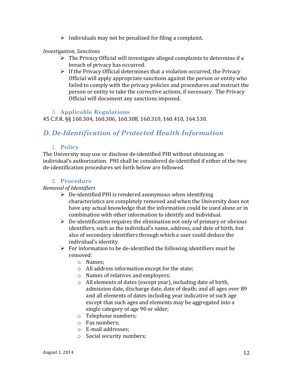$\triangleright$  Individuals may not be penalized for filing a complaint.

#### *Investigation, Sanctions*

- $\triangleright$  The Privacy Official will investigate alleged complaints to determine if a breach of privacy has occurred.
- $\triangleright$  If the Privacy Official determines that a violation occurred, the Privacy Official will apply appropriate sanctions against the person or entity who failed to comply with the privacy policies and procedures and instruct the person or entity to take the corrective actions, if necessary. The Privacy Official will document any sanctions imposed.

#### 3. **Applicable Regulations**

45 C.F.R. §§ 160.304, 160.306, 160.308, 160.310, 160.410, 164.530.

# *D. De-Identification of Protected Health Information*

#### 1. **Policy**

The University may use or disclose de-identified PHI without obtaining an individual's authorization. PHI shall be considered de-identified if either of the two de-identification procedures set forth below are followed.

#### 2. **Procedure**

#### *Removal of Identifiers*

- $\triangleright$  De-identified PHI is rendered anonymous when identifying characteristics are completely removed and when the University does not have any actual knowledge that the information could be used alone or in combination with other information to identify and individual.
- $\triangleright$  De-identification requires the elimination not only of primary or obvious identifiers, such as the individual's name, address, and date of birth, but also of secondary identifiers through which a user could deduce the individual's identity.
- $\triangleright$  For information to be de-identified the following identifiers must be removed:
	- o Names;
	- $\circ$  All address information except for the state;
	- $\circ$  Names of relatives and employers;
	- $\circ$  All elements of dates (except year), including date of birth, admission date, discharge date, date of death; and all ages over 89 and all elements of dates including year indicative of such age except that such ages and elements may be aggregated into a single category of age 90 or older;
	- o Telephone numbers;
	- o Fax numbers;
	- o E-mail addresses;
	- $\circ$  Social security numbers;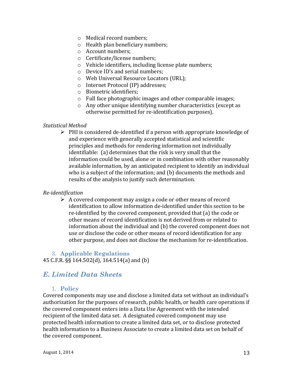- $\circ$  Medical record numbers:
- $\circ$  Health plan beneficiary numbers;
- o Account numbers;
- o Certificate/license numbers;
- $\circ$  Vehicle identifiers, including license plate numbers;
- $\circ$  Device ID's and serial numbers:
- o Web Universal Resource Locators (URL);
- o Internet Protocol (IP) addresses;
- o Biometric identifiers;
- $\circ$  Full face photographic images and other comparable images;
- $\circ$  Any other unique identifying number characteristics (except as otherwise permitted for re-identification purposes).

#### *Statistical Method*

 $\triangleright$  PHI is considered de-identified if a person with appropriate knowledge of and experience with generally accepted statistical and scientific principles and methods for rendering information not individually identifiable: (a) determines that the risk is very small that the information could be used, alone or in combination with other reasonably available information, by an anticipated recipient to identify an individual who is a subject of the information; and (b) documents the methods and results of the analysis to justify such determination.

#### *Re-identification*

 $\triangleright$  A covered component may assign a code or other means of record identification to allow information de-identified under this section to be re-identified by the covered component, provided that (a) the code or other means of record identification is not derived from or related to information about the individual and (b) the covered component does not use or disclose the code or other means of record identification for any other purpose, and does not disclose the mechanism for re-identification.

# 3. **Applicable Regulations**

45 C.F.R. §§ 164.502(d), 164.514(a) and (b)

# *E. Limited Data Sheets*

#### 1. **Policy**

Covered components may use and disclose a limited data set without an individual's authorization for the purposes of research, public health, or health care operations if the covered component enters into a Data Use Agreement with the intended recipient of the limited data set. A designated covered component may use protected health information to create a limited data set, or to disclose protected health information to a Business Associate to create a limited data set on behalf of the covered component.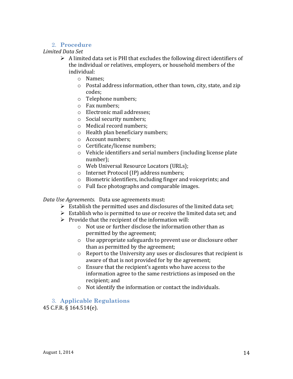#### 2. **Procedure**

#### *Limited Data Set*

- $\triangleright$  A limited data set is PHI that excludes the following direct identifiers of the individual or relatives, employers, or household members of the individual:
	- o Names;
	- $\circ$  Postal address information, other than town, city, state, and zip codes;
	- o Telephone numbers;
	- o Fax numbers;
	- o Electronic mail addresses:
	- $\circ$  Social security numbers;
	- $\circ$  Medical record numbers;
	- $\circ$  Health plan beneficiary numbers;
	- o Account numbers;
	- $\circ$  Certificate/license numbers;
	- $\circ$  Vehicle identifiers and serial numbers (including license plate number);
	- o Web Universal Resource Locators (URLs);
	- o Internet Protocol (IP) address numbers;
	- $\circ$  Biometric identifiers, including finger and voiceprints; and
	- $\circ$  Full face photographs and comparable images.

Data Use Agreements. Data use agreements must:

- $\triangleright$  Establish the permitted uses and disclosures of the limited data set;
- $\triangleright$  Establish who is permitted to use or receive the limited data set; and
- $\triangleright$  Provide that the recipient of the information will:
	- $\circ$  Not use or further disclose the information other than as permitted by the agreement;
	- $\circ$  Use appropriate safeguards to prevent use or disclosure other than as permitted by the agreement;
	- $\circ$  Report to the University any uses or disclosures that recipient is aware of that is not provided for by the agreement;
	- $\circ$  Ensure that the recipient's agents who have access to the information agree to the same restrictions as imposed on the recipient: and
	- $\circ$  Not identify the information or contact the individuals.

### 3. **Applicable Regulations**

45 C.F.R. § 164.514(e).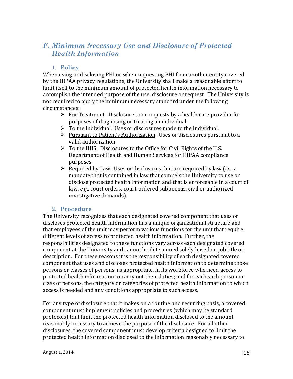# *F. Minimum Necessary Use and Disclosure of Protected Health Information*

#### 1. **Policy**

When using or disclosing PHI or when requesting PHI from another entity covered by the HIPAA privacy regulations, the University shall make a reasonable effort to limit itself to the minimum amount of protected health information necessary to accomplish the intended purpose of the use, disclosure or request. The University is not required to apply the minimum necessary standard under the following circumstances:

- $\triangleright$  For Treatment. Disclosure to or requests by a health care provider for purposes of diagnosing or treating an individual.
- $\triangleright$  To the Individual. Uses or disclosures made to the individual.
- $\triangleright$  Pursuant to Patient's Authorization. Uses or disclosures pursuant to a valid authorization.
- $\triangleright$  To the HHS. Disclosures to the Office for Civil Rights of the U.S. Department of Health and Human Services for HIPAA compliance purposes.
- $\triangleright$  Required by Law. Uses or disclosures that are required by law *(i.e., a*) mandate that is contained in law that compels the University to use or disclose protected health information and that is enforceable in a court of law, e.g., court orders, court-ordered subpoenas, civil or authorized investigative demands).

#### 2. **Procedure**

The University recognizes that each designated covered component that uses or discloses protected health information has a unique organizational structure and that employees of the unit may perform various functions for the unit that require different levels of access to protected health information. Further, the responsibilities designated to these functions vary across each designated covered component at the University and cannot be determined solely based on job title or description. For these reasons it is the responsibility of each designated covered component that uses and discloses protected health information to determine those persons or classes of persons, as appropriate, in its workforce who need access to protected health information to carry out their duties; and for each such person or class of persons, the category or categories of protected health information to which access is needed and any conditions appropriate to such access.

For any type of disclosure that it makes on a routine and recurring basis, a covered component must implement policies and procedures (which may be standard protocols) that limit the protected health information disclosed to the amount reasonably necessary to achieve the purpose of the disclosure. For all other disclosures, the covered component must develop criteria designed to limit the protected health information disclosed to the information reasonably necessary to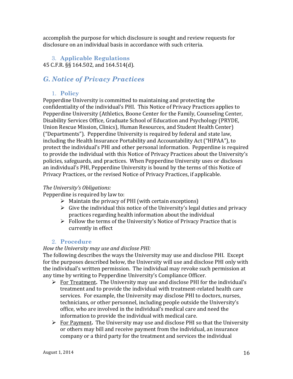accomplish the purpose for which disclosure is sought and review requests for disclosure on an individual basis in accordance with such criteria.

#### 3. **Applicable Regulations** 45 C.F.R. §§ 164.502, and 164.514(d).

# *G. Notice of Privacy Practices*

#### 1. **Policy**

Pepperdine University is committed to maintaining and protecting the confidentiality of the individual's PHI. This Notice of Privacy Practices applies to Pepperdine University (Athletics, Boone Center for the Family, Counseling Center, Disability Services Office, Graduate School of Education and Psychology (PRYDE, Union Rescue Mission, Clinics), Human Resources, and Student Health Center) ("Departments"). Pepperdine University is required by federal and state law, including the Health Insurance Portability and Accountability Act ("HIPAA"), to protect the individual's PHI and other personal information. Pepperdine is required to provide the individual with this Notice of Privacy Practices about the University's policies, safeguards, and practices. When Pepperdine University uses or discloses an individual's PHI, Pepperdine University is bound by the terms of this Notice of Privacy Practices, or the revised Notice of Privacy Practices, if applicable.

#### *The University's Obligations:*

Pepperdine is required by law to:

- $\triangleright$  Maintain the privacy of PHI (with certain exceptions)
- $\triangleright$  Give the individual this notice of the University's legal duties and privacy practices regarding health information about the individual
- $\triangleright$  Follow the terms of the University's Notice of Privacy Practice that is currently in effect

#### 2. **Procedure**

#### *How the University may use and disclose PHI:*

The following describes the ways the University may use and disclose PHI. Except for the purposes described below, the University will use and disclose PHI only with the individual's written permission. The individual may revoke such permission at any time by writing to Pepperdine University's Compliance Officer.

- $\triangleright$  For Treatment. The University may use and disclose PHI for the individual's treatment and to provide the individual with treatment-related health care services. For example, the University may disclose PHI to doctors, nurses, technicians, or other personnel, including people outside the University's office, who are involved in the individual's medical care and need the information to provide the individual with medical care.
- $\triangleright$  For Payment. The University may use and disclose PHI so that the University or others may bill and receive payment from the individual, an insurance company or a third party for the treatment and services the individual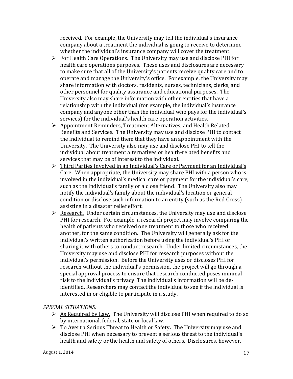received. For example, the University may tell the individual's insurance company about a treatment the individual is going to receive to determine whether the individual's insurance company will cover the treatment.

- **►** For Health Care Operations. The University may use and disclose PHI for health care operations purposes. These uses and disclosures are necessary to make sure that all of the University's patients receive quality care and to operate and manage the University's office. For example, the University may share information with doctors, residents, nurses, technicians, clerks, and other personnel for quality assurance and educational purposes. The University also may share information with other entities that have a relationship with the individual (for example, the individual's insurance company and anyone other than the individual who pays for the individual's services) for the individual's health care operation activities.
- $\triangleright$  Appointment Reminders, Treatment Alternatives, and Health Related Benefits and Services. The University may use and disclose PHI to contact the individual to remind them that they have an appointment with the University. The University also may use and disclose PHI to tell the individual about treatment alternatives or health-related benefits and services that may be of interest to the individual.
- $\triangleright$  Third Parties Involved in an Individual's Care or Payment for an Individual's Care. When appropriate, the University may share PHI with a person who is involved in the individual's medical care or payment for the individual's care, such as the individual's family or a close friend. The University also may notify the individual's family about the individual's location or general condition or disclose such information to an entity (such as the Red Cross) assisting in a disaster relief effort.
- $\triangleright$  Research. Under certain circumstances, the University may use and disclose PHI for research. For example, a research project may involve comparing the health of patients who received one treatment to those who received another, for the same condition. The University will generally ask for the individual's written authorization before using the individual's PHI or sharing it with others to conduct research. Under limited circumstances, the University may use and disclose PHI for research purposes without the individual's permission. Before the University uses or discloses PHI for research without the individual's permission, the project will go through a special approval process to ensure that research conducted poses minimal risk to the individual's privacy. The individual's information will be deidentified. Researchers may contact the individual to see if the individual is interested in or eligible to participate in a study.

#### *SPECIAL SITUATIONS:*

- $\triangleright$  As Required by Law. The University will disclose PHI when required to do so by international, federal, state or local law.
- **►** To Avert a Serious Threat to Health or Safety. The University may use and disclose PHI when necessary to prevent a serious threat to the individual's health and safety or the health and safety of others. Disclosures, however,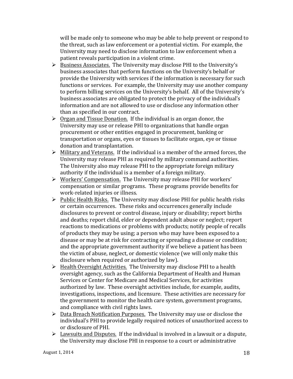will be made only to someone who may be able to help prevent or respond to the threat, such as law enforcement or a potential victim. For example, the University may need to disclose information to law enforcement when a patient reveals participation in a violent crime.

- $\triangleright$  Business Associates. The University may disclose PHI to the University's business associates that perform functions on the University's behalf or provide the University with services if the information is necessary for such functions or services. For example, the University may use another company to perform billing services on the University's behalf. All of the University's business associates are obligated to protect the privacy of the individual's information and are not allowed to use or disclose any information other than as specified in our contract.
- $\triangleright$  Organ and Tissue Donation. If the individual is an organ donor, the University may use or release PHI to organizations that handle organ procurement or other entities engaged in procurement, banking or transportation or organs, eyes or tissues to facilitate organ, eye or tissue donation and transplantation.
- $\triangleright$  Military and Veterans. If the individual is a member of the armed forces, the University may release PHI as required by military command authorities. The University also may release PHI to the appropriate foreign military authority if the individual is a member of a foreign military.
- **►** Workers' Compensation. The University may release PHI for workers' compensation or similar programs. These programs provide benefits for work-related injuries or illness.
- **►** Public Health Risks. The University may disclose PHI for public health risks or certain occurrences. These risks and occurrences generally include disclosures to prevent or control disease, injury or disability; report births and deaths; report child, elder or dependent adult abuse or neglect; report reactions to medications or problems with products; notify people of recalls of products they may be using; a person who may have been exposed to a disease or may be at risk for contracting or spreading a disease or condition; and the appropriate government authority if we believe a patient has been the victim of abuse, neglect, or domestic violence (we will only make this disclosure when required or authorized by law).
- $\triangleright$  Health Oversight Activities. The University may disclose PHI to a health oversight agency, such as the California Department of Health and Human Services or Center for Medicare and Medical Services, for activities authorized by law. These oversight activities include, for example, audits, investigations, inspections, and licensure. These activities are necessary for the government to monitor the health care system, government programs, and compliance with civil rights laws.
- **►** Data Breach Notification Purposes. The University may use or disclose the individual's PHI to provide legally required notices of unauthorized access to or disclosure of PHI.
- $\triangleright$  Lawsuits and Disputes. If the individual is involved in a lawsuit or a dispute, the University may disclose PHI in response to a court or administrative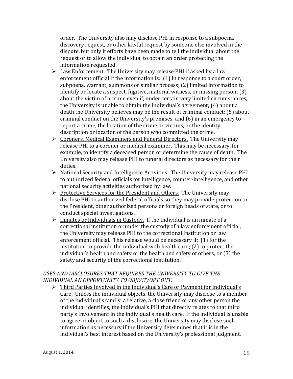order. The University also may disclose PHI in response to a subpoena, discovery request, or other lawful request by someone else involved in the dispute, but only if efforts have been made to tell the individual about the request or to allow the individual to obtain an order protecting the information requested.

- $\triangleright$  Law Enforcement. The University may release PHI if asked by a law enforcement official if the information is:  $(1)$  in response to a court order, subpoena, warrant, summons or similar process; (2) limited information to identify or locate a suspect, fugitive, material witness, or missing person; (3) about the victim of a crime even if, under certain very limited circumstances, the University is unable to obtain the individual's agreement; (4) about a death the University believes may be the result of criminal conduct; (5) about criminal conduct on the University's premises; and  $(6)$  in an emergency to report a crime, the location of the crime or victims, or the identity, description or location of the person who committed the crime.
- **►** Coroners, Medical Examiners and Funeral Directors. The University may release PHI to a coroner or medical examiner. This may be necessary, for example, to identify a deceased person or determine the cause of death. The University also may release PHI to funeral directors as necessary for their duties.
- $\triangleright$  National Security and Intelligence Activities. The University may release PHI to authorized federal officials for intelligence, counter-intelligence, and other national security activities authorized by law.
- **►** Protective Services for the President and Others. The University may disclose PHI to authorized federal officials so they may provide protection to the President, other authorized persons or foreign heads of state, or to conduct special investigations.
- $\triangleright$  Inmates or Individuals in Custody. If the individual is an inmate of a correctional institution or under the custody of a law enforcement official, the University may release PHI to the correctional institution or law enforcement official. This release would be necessary if: (1) for the institution to provide the individual with health care;  $(2)$  to protect the individual's health and safety or the health and safety of others; or (3) the safety and security of the correctional institution.

#### USES AND DISCLOSURES THAT REQUIRES THE UNIVERSITY TO GIVE THE *INDIVIDUAL AN OPPORTUNITY TO OBJECT/OPT OUT:*

 $\triangleright$  Third Parties Involved in the Individual's Care or Payment for Individual's Care. Unless the individual objects, the University may disclose to a member of the individual's family, a relative, a close friend or any other person the individual identifies, the individual's PHI that directly relates to that third party's involvement in the individual's health care. If the individual is unable to agree or object to such a disclosure, the University may disclose such information as necessary if the University determines that it is in the individual's best interest based on the University's professional judgment.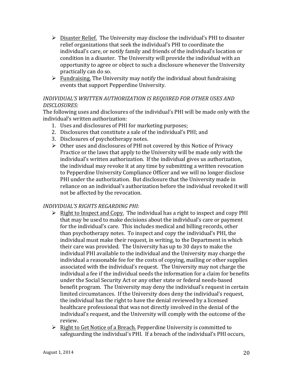- $\triangleright$  Disaster Relief. The University may disclose the individual's PHI to disaster relief organizations that seek the individual's PHI to coordinate the individual's care, or notify family and friends of the individual's location or condition in a disaster. The University will provide the individual with an opportunity to agree or object to such a disclosure whenever the University practically can do so.
- $\triangleright$  Fundraising. The University may notify the individual about fundraising events that support Pepperdine University.

#### *INDIVIDUAL'S WRITTEN AUTHORIZATION IS REQUIRED FOR OTHER USES AND DISCLOSURES:*

The following uses and disclosures of the individual's PHI will be made only with the individual's written authorization:

- 1. Uses and disclosures of PHI for marketing purposes;
- 2. Disclosures that constitute a sale of the individual's PHI; and
- 3. Disclosures of psychotherapy notes.
- $\triangleright$  Other uses and disclosures of PHI not covered by this Notice of Privacy Practice or the laws that apply to the University will be made only with the individual's written authorization. If the individual gives us authorization, the individual may revoke it at any time by submitting a written revocation to Pepperdine University Compliance Officer and we will no longer disclose PHI under the authorization. But disclosure that the University made in reliance on an individual's authorization before the individual revoked it will not be affected by the revocation.

#### *INDIVIDUAL'S RIGHTS REGARDING PHI:*

- $\triangleright$  Right to Inspect and Copy. The individual has a right to inspect and copy PHI that may be used to make decisions about the individual's care or payment for the individual's care. This includes medical and billing records, other than psychotherapy notes. To inspect and copy the individual's PHI, the individual must make their request, in writing, to the Department in which their care was provided. The University has up to 30 days to make the individual PHI available to the individual and the University may charge the individual a reasonable fee for the costs of copying, mailing or other supplies associated with the individual's request. The University may not charge the individual a fee if the individual needs the information for a claim for benefits under the Social Security Act or any other state or federal needs-based benefit program. The University may deny the individual's request in certain limited circumstances. If the University does deny the individual's request, the individual has the right to have the denial reviewed by a licensed healthcare professional that was not directly involved in the denial of the individual's request, and the University will comply with the outcome of the review.
- $\triangleright$  Right to Get Notice of a Breach. Pepperdine University is committed to safeguarding the individual's PHI. If a breach of the individual's PHI occurs,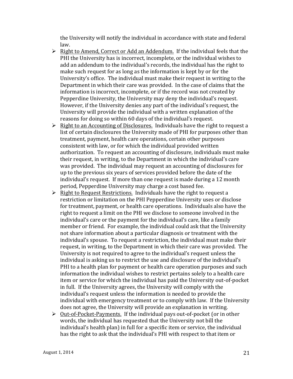the University will notify the individual in accordance with state and federal law.

- $\triangleright$  Right to Amend, Correct or Add an Addendum. If the individual feels that the PHI the University has is incorrect, incomplete, or the individual wishes to add an addendum to the individual's records, the individual has the right to make such request for as long as the information is kept by or for the University's office. The individual must make their request in writing to the Department in which their care was provided. In the case of claims that the information is incorrect, incomplete, or if the record was not created by Pepperdine University, the University may deny the individual's request. However, if the University denies any part of the individual's request, the University will provide the individual with a written explanation of the reasons for doing so within 60 days of the individual's request.
- $\triangleright$  Right to an Accounting of Disclosures. Individuals have the right to request a list of certain disclosures the University made of PHI for purposes other than treatment, payment, health care operations, certain other purposes consistent with law, or for which the individual provided written authorization. To request an accounting of disclosure, individuals must make their request, in writing, to the Department in which the individual's care was provided. The individual may request an accounting of disclosures for up to the previous six years of services provided before the date of the individual's request. If more than one request is made during a 12 month period, Pepperdine University may charge a cost based fee.
- $\triangleright$  Right to Request Restrictions. Individuals have the right to request a restriction or limitation on the PHI Pepperdine University uses or disclose for treatment, payment, or health care operations. Individuals also have the right to request a limit on the PHI we disclose to someone involved in the individual's care or the payment for the individual's care, like a family member or friend. For example, the individual could ask that the University not share information about a particular diagnosis or treatment with the individual's spouse. To request a restriction, the individual must make their request, in writing, to the Department in which their care was provided. The University is not required to agree to the individual's request unless the individual is asking us to restrict the use and disclosure of the individual's PHI to a health plan for payment or health care operation purposes and such information the individual wishes to restrict pertains solely to a health care item or service for which the individual has paid the University out-of-pocket in full. If the University agrees, the University will comply with the individual's request unless the information is needed to provide the individual with emergency treatment or to comply with law. If the University does not agree, the University will provide an explanation in writing.
- ▶ Out-of-Pocket-Payments. If the individual pays out-of-pocket (or in other words, the individual has requested that the University not bill the individual's health plan) in full for a specific item or service, the individual has the right to ask that the individual's PHI with respect to that item or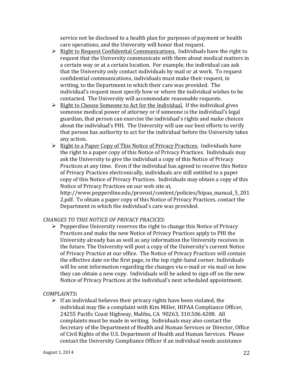service not be disclosed to a health plan for purposes of payment or health care operations, and the University will honor that request.

- $\triangleright$  Right to Request Confidential Communications. Individuals have the right to request that the University communicate with them about medical matters in a certain way or at a certain location. For example, the individual can ask that the University only contact individuals by mail or at work. To request confidential communications, individuals must make their request, in writing, to the Department in which their care was provided. The individual's request must specify how or where the individual wishes to be contacted. The University will accommodate reasonable requests.
- $\triangleright$  Right to Choose Someone to Act for the Individual. If the individual gives someone medical power of attorney or if someone is the individual's legal guardian, that person can exercise the individual's rights and make choices about the individual's PHI. The University will use our best efforts to verify that person has authority to act for the individual before the University takes any action.
- $\triangleright$  Right to a Paper Copy of This Notice of Privacy Practices. Individuals have the right to a paper copy of this Notice of Privacy Practices. Individuals may ask the University to give the individual a copy of this Notice of Privacy Practices at any time. Even if the individual has agreed to receive this Notice of Privacy Practices electronically, individuals are still entitled to a paper copy of this Notice of Privacy Practices. Individuals may obtain a copy of this Notice of Privacy Practices on our web site at,

http://www.pepperdine.edu/provost/content/policies/hipaa\_manual\_5\_201 2.pdf. To obtain a paper copy of this Notice of Privacy Practices, contact the Department in which the individual's care was provided.

#### **CHANGES TO THIS NOTICE OF PRIVACY PRACICES:**

 $\triangleright$  Pepperdine University reserves the right to change this Notice of Privacy Practices and make the new Notice of Privacy Practices apply to PHI the University already has as well as any information the University receives in the future. The University will post a copy of the University's current Notice of Privacy Practice at our office. The Notice of Privacy Practices will contain the effective date on the first page, in the top right-hand corner. Individuals will be sent information regarding the changes via e-mail or via mail on how they can obtain a new copy. Individuals will be asked to sign off on the new Notice of Privacy Practices at the individual's next scheduled appointment.

#### *COMPLAINTS***:**

 $\triangleright$  If an individual believes their privacy rights have been violated, the individual may file a complaint with Kim Miller, HIPAA Compliance Officer, 24255 Pacific Coast Highway, Malibu, CA 90263, 310.506.4208. All complaints must be made in writing. Individuals may also contact the Secretary of the Department of Health and Human Services or Director, Office of Civil Rights of the U.S. Department of Health and Human Services. Please contact the University Compliance Officer if an individual needs assistance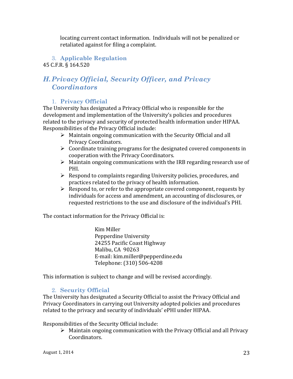locating current contact information. Individuals will not be penalized or retaliated against for filing a complaint.

#### 3. **Applicable Regulation** 45 C.F.R. § 164.520

# *H.Privacy Official, Security Officer, and Privacy Coordinators*

#### 1. **Privacy Official**

The University has designated a Privacy Official who is responsible for the development and implementation of the University's policies and procedures related to the privacy and security of protected health information under HIPAA. Responsibilities of the Privacy Official include:

- $\triangleright$  Maintain ongoing communication with the Security Official and all Privacy Coordinators.
- $\triangleright$  Coordinate training programs for the designated covered components in cooperation with the Privacy Coordinators.
- $\triangleright$  Maintain ongoing communications with the IRB regarding research use of PHI.
- $\triangleright$  Respond to complaints regarding University policies, procedures, and practices related to the privacy of health information.
- $\triangleright$  Respond to, or refer to the appropriate covered component, requests by individuals for access and amendment, an accounting of disclosures, or requested restrictions to the use and disclosure of the individual's PHI.

The contact information for the Privacy Official is:

Kim Miller Pepperdine University 24255 Pacific Coast Highway Malibu, CA 90263 E-mail: kim.miller@pepperdine.edu Telephone: (310) 506-4208

This information is subject to change and will be revised accordingly.

### 2. **Security Official**

The University has designated a Security Official to assist the Privacy Official and Privacy Coordinators in carrying out University adopted policies and procedures related to the privacy and security of individuals' ePHI under HIPAA.

Responsibilities of the Security Official include:

 $\triangleright$  Maintain ongoing communication with the Privacy Official and all Privacy Coordinators.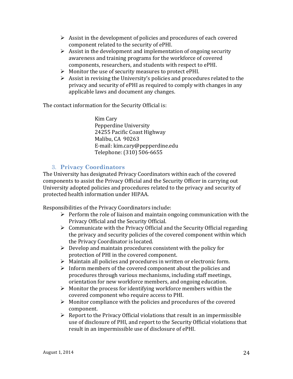- $\triangleright$  Assist in the development of policies and procedures of each covered component related to the security of ePHI.
- $\triangleright$  Assist in the development and implementation of ongoing security awareness and training programs for the workforce of covered components, researchers, and students with respect to ePHI.
- $\triangleright$  Monitor the use of security measures to protect ePHI.
- $\triangleright$  Assist in revising the University's policies and procedures related to the privacy and security of ePHI as required to comply with changes in any applicable laws and document any changes.

The contact information for the Security Official is:

Kim Cary Pepperdine University 24255 Pacific Coast Highway Malibu, CA 90263 E-mail: kim.cary@pepperdine.edu Telephone: (310) 506-6655

#### 3. **Privacy Coordinators**

The University has designated Privacy Coordinators within each of the covered components to assist the Privacy Official and the Security Officer in carrying out University adopted policies and procedures related to the privacy and security of protected health information under HIPAA.

Responsibilities of the Privacy Coordinators include:

- $\triangleright$  Perform the role of liaison and maintain ongoing communication with the Privacy Official and the Security Official.
- $\triangleright$  Communicate with the Privacy Official and the Security Official regarding the privacy and security policies of the covered component within which the Privacy Coordinator is located.
- $\triangleright$  Develop and maintain procedures consistent with the policy for protection of PHI in the covered component.
- $\triangleright$  Maintain all policies and procedures in written or electronic form.
- $\triangleright$  Inform members of the covered component about the policies and procedures through various mechanisms, including staff meetings, orientation for new workforce members, and ongoing education.
- $\triangleright$  Monitor the process for identifying workforce members within the covered component who require access to PHI.
- $\triangleright$  Monitor compliance with the policies and procedures of the covered component.
- $\triangleright$  Report to the Privacy Official violations that result in an impermissible use of disclosure of PHI, and report to the Security Official violations that result in an impermissible use of disclosure of ePHI.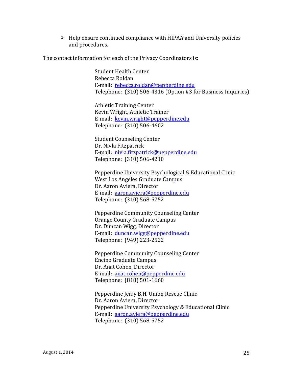$\triangleright$  Help ensure continued compliance with HIPAA and University policies and procedures.

The contact information for each of the Privacy Coordinators is:

Student Health Center Rebecca Roldan E-mail: rebecca.roldan@pepperdine.edu Telephone:  $(310)$  506-4316 (Option #3 for Business Inquiries)

Athletic Training Center Kevin Wright, Athletic Trainer E-mail: kevin.wright@pepperdine.edu Telephone: (310) 506-4602

Student Counseling Center Dr. Nivla Fitzpatrick E-mail: nivla.fitzpatrick@pepperdine.edu Telephone: (310) 506-4210

Pepperdine University Psychological & Educational Clinic West Los Angeles Graduate Campus Dr. Aaron Aviera, Director E-mail: aaron.aviera@pepperdine.edu Telephone: (310) 568-5752

Pepperdine Community Counseling Center Orange County Graduate Campus Dr. Duncan Wigg, Director E-mail: duncan.wigg@pepperdine.edu Telephone: (949) 223-2522

Pepperdine Community Counseling Center Encino Graduate Campus Dr. Anat Cohen, Director E-mail: anat.cohen@pepperdine.edu Telephone: (818) 501-1660

Pepperdine Jerry B.H. Union Rescue Clinic Dr. Aaron Aviera, Director Pepperdine University Psychology & Educational Clinic E-mail: aaron.aviera@pepperdine.edu Telephone: (310) 568-5752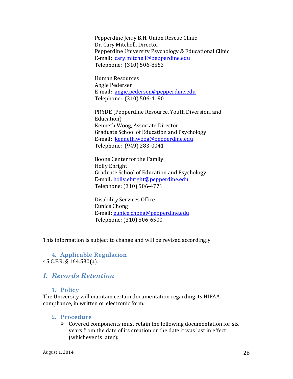Pepperdine Jerry B.H. Union Rescue Clinic Dr. Cary Mitchell, Director Pepperdine University Psychology & Educational Clinic E-mail: cary.mitchell@pepperdine.edu Telephone: (310) 506-8553

Human Resources Angie Pedersen E-mail: angie.pedersen@pepperdine.edu Telephone: (310) 506-4190

PRYDE (Pepperdine Resource, Youth Diversion, and Education) Kenneth Woog, Associate Director Graduate School of Education and Psychology E-mail: kenneth.woog@pepperdine.edu Telephone: (949) 283-0041

Boone Center for the Family Holly Ebright Graduate School of Education and Psychology E-mail: holly.ebright@pepperdine.edu Telephone: (310) 506-4771

Disability Services Office Eunice Chong E-mail: eunice.chong@pepperdine.edu Telephone: (310) 506-6500

This information is subject to change and will be revised accordingly.

4. **Applicable Regulation** 45 C.F.R. § 164.530(a).

# *I. Records Retention*

#### 1. **Policy**

The University will maintain certain documentation regarding its HIPAA compliance, in written or electronic form.

#### 2. **Procedure**

 $\triangleright$  Covered components must retain the following documentation for six years from the date of its creation or the date it was last in effect (whichever is later):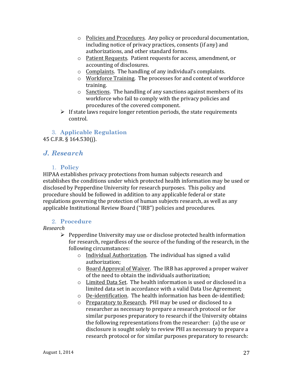- $\circ$  Policies and Procedures. Any policy or procedural documentation, including notice of privacy practices, consents (if any) and authorizations, and other standard forms.
- o Patient Requests. Patient requests for access, amendment, or accounting of disclosures.
- $\circ$  Complaints. The handling of any individual's complaints.
- o Workforce Training. The processes for and content of workforce training.
- $\circ$  Sanctions. The handling of any sanctions against members of its workforce who fail to comply with the privacy policies and procedures of the covered component.
- $\triangleright$  If state laws require longer retention periods, the state requirements control.

3. **Applicable Regulation** 45 C.F.R. § 164.530(j).

# *J. Research*

#### 1. **Policy**

HIPAA establishes privacy protections from human subjects research and establishes the conditions under which protected health information may be used or disclosed by Pepperdine University for research purposes. This policy and procedure should be followed in addition to any applicable federal or state regulations governing the protection of human subjects research, as well as any applicable Institutional Review Board ("IRB") policies and procedures.

#### 2. **Procedure**

#### *Research*

- $\triangleright$  Pepperdine University may use or disclose protected health information for research, regardless of the source of the funding of the research, in the following circumstances:
	- $\circ$  Individual Authorization. The individual has signed a valid authorization;
	- $\circ$  Board Approval of Waiver. The IRB has approved a proper waiver of the need to obtain the individuals authorization:
	- $\circ$  Limited Data Set. The health information is used or disclosed in a limited data set in accordance with a valid Data Use Agreement;
	- $\circ$  De-identification. The health information has been de-identified;
	- $\circ$  Preparatory to Research. PHI may be used or disclosed to a researcher as necessary to prepare a research protocol or for similar purposes preparatory to research if the University obtains the following representations from the researcher:  $(a)$  the use or disclosure is sought solely to review PHI as necessary to prepare a research protocol or for similar purposes preparatory to research: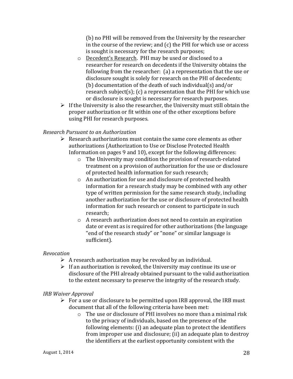(b) no PHI will be removed from the University by the researcher in the course of the review; and  $(c)$  the PHI for which use or access is sought is necessary for the research purposes;

- o Decedent's Research. PHI may be used or disclosed to a researcher for research on decedents if the University obtains the following from the researcher:  $(a)$  a representation that the use or disclosure sought is solely for research on the PHI of decedents; (b) documentation of the death of such individual(s) and/or research subject(s); (c) a representation that the PHI for which use or disclosure is sought is necessary for research purposes.
- $\triangleright$  If the University is also the researcher, the University must still obtain the proper authorization or fit within one of the other exceptions before using PHI for research purposes.

#### *Research Pursuant to an Authorization*

- $\triangleright$  Research authorizations must contain the same core elements as other authorizations (Authorization to Use or Disclose Protected Health Information on pages 9 and 10), except for the following differences:
	- $\circ$  The University may condition the provision of research-related treatment on a provision of authorization for the use or disclosure of protected health information for such research;
	- $\circ$  An authorization for use and disclosure of protected health information for a research study may be combined with any other type of written permission for the same research study, including another authorization for the use or disclosure of protected health information for such research or consent to participate in such research;
	- $\circ$  A research authorization does not need to contain an expiration date or event as is required for other authorizations (the language " end of the research study" or "none" or similar language is sufficient).

#### *Revocation*

- $\triangleright$  A research authorization may be revoked by an individual.
- $\triangleright$  If an authorization is revoked, the University may continue its use or disclosure of the PHI already obtained pursuant to the valid authorization to the extent necessary to preserve the integrity of the research study.

#### *IRB Waiver Approval*

- $\triangleright$  For a use or disclosure to be permitted upon IRB approval, the IRB must document that all of the following criteria have been met:
	- $\circ$  The use or disclosure of PHI involves no more than a minimal risk to the privacy of individuals, based on the presence of the following elements: (i) an adequate plan to protect the identifiers from improper use and disclosure; (ii) an adequate plan to destroy the identifiers at the earliest opportunity consistent with the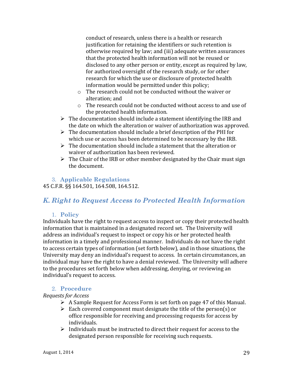conduct of research, unless there is a health or research justification for retaining the identifiers or such retention is otherwise required by law; and (iii) adequate written assurances that the protected health information will not be reused or disclosed to any other person or entity, except as required by law, for authorized oversight of the research study, or for other research for which the use or disclosure of protected health information would be permitted under this policy;

- $\circ$  The research could not be conducted without the waiver or alteration; and
- $\circ$  The research could not be conducted without access to and use of the protected health information.
- $\triangleright$  The documentation should include a statement identifying the IRB and the date on which the alteration or waiver of authorization was approved.
- $\triangleright$  The documentation should include a brief description of the PHI for which use or access has been determined to be necessary by the IRB.
- $\triangleright$  The documentation should include a statement that the alteration or waiver of authorization has been reviewed.
- $\triangleright$  The Chair of the IRB or other member designated by the Chair must sign the document.

### 3. **Applicable Regulations**

45 C.F.R. §§ 164.501, 164.508, 164.512.

# *K. Right to Request Access to Protected Health Information*

#### 1. **Policy**

Individuals have the right to request access to inspect or copy their protected health information that is maintained in a designated record set. The University will address an individual's request to inspect or copy his or her protected health information in a timely and professional manner. Individuals do not have the right to access certain types of information (set forth below), and in those situations, the University may deny an individual's request to access. In certain circumstances, an individual may have the right to have a denial reviewed. The University will adhere to the procedures set forth below when addressing, denying, or reviewing an individual's request to access.

#### 2. **Procedure**

#### *Requests for Access*

- $\triangleright$  A Sample Request for Access Form is set forth on page 47 of this Manual.
- $\triangleright$  Each covered component must designate the title of the person(s) or office responsible for receiving and processing requests for access by individuals.
- $\triangleright$  Individuals must be instructed to direct their request for access to the designated person responsible for receiving such requests.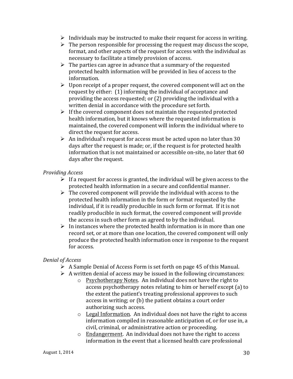- $\triangleright$  Individuals may be instructed to make their request for access in writing.
- $\triangleright$  The person responsible for processing the request may discuss the scope, format, and other aspects of the request for access with the individual as necessary to facilitate a timely provision of access.
- $\triangleright$  The parties can agree in advance that a summary of the requested protected health information will be provided in lieu of access to the information.
- $\triangleright$  Upon receipt of a proper request, the covered component will act on the request by either:  $(1)$  informing the individual of acceptance and providing the access requested; or  $(2)$  providing the individual with a written denial in accordance with the procedure set forth.
- $\triangleright$  If the covered component does not maintain the requested protected health information, but it knows where the requested information is maintained, the covered component will inform the individual where to direct the request for access.
- $\triangleright$  An individual's request for access must be acted upon no later than 30 days after the request is made; or, if the request is for protected health information that is not maintained or accessible on-site, no later that 60 days after the request.

#### *Providing Access*

- $\triangleright$  If a request for access is granted, the individual will be given access to the protected health information in a secure and confidential manner.
- $\triangleright$  The covered component will provide the individual with access to the protected health information in the form or format requested by the individual, if it is readily producible in such form or format. If it is not readily producible in such format, the covered component will provide the access in such other form as agreed to by the individual.
- $\triangleright$  In instances where the protected health information is in more than one record set, or at more than one location, the covered component will only produce the protected health information once in response to the request for access.

#### *Denial of Access*

- $\triangleright$  A Sample Denial of Access Form is set forth on page 45 of this Manual.
- $\triangleright$  A written denial of access may be issued in the following circumstances:
	- $\circ$  Psychotherapy Notes. An individual does not have the right to access psychotherapy notes relating to him or herself except (a) to the extent the patient's treating professional approves to such access in writing; or (b) the patient obtains a court order authorizing such access.
	- $\circ$  Legal Information. An individual does not have the right to access information compiled in reasonable anticipation of, or for use in, a civil, criminal, or administrative action or proceeding.
	- $\circ$  Endangerment. An individual does not have the right to access information in the event that a licensed health care professional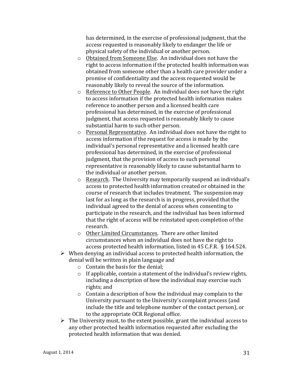has determined, in the exercise of professional judgment, that the access requested is reasonably likely to endanger the life or physical safety of the individual or another person.

- $\circ$  Obtained from Someone Else. An individual does not have the right to access information if the protected health information was obtained from someone other than a health care provider under a promise of confidentiality and the access requested would be reasonably likely to reveal the source of the information.
- $\circ$  Reference to Other People. An individual does not have the right to access information if the protected health information makes reference to another person and a licensed health care professional has determined, in the exercise of professional judgment, that access requested is reasonably likely to cause substantial harm to such other person.
- $\circ$  Personal Representative. An individual does not have the right to access information if the request for access is made by the individual's personal representative and a licensed health care professional has determined, in the exercise of professional judgment, that the provision of access to such personal representative is reasonably likely to cause substantial harm to the individual or another person.
- o Research. The University may temporarily suspend an individual's access to protected health information created or obtained in the course of research that includes treatment. The suspension may last for as long as the research is in progress, provided that the individual agreed to the denial of access when consenting to participate in the research, and the individual has been informed that the right of access will be reinstated upon completion of the research.
- o Other Limited Circumstances. There are other limited circumstances when an individual does not have the right to access protected health information, listed in 45 C.F.R. § 164.524.
- $\triangleright$  When denying an individual access to protected health information, the denial will be written in plain language and
	- $\circ$  Contain the basis for the denial;
	- $\circ$  If applicable, contain a statement of the individual's review rights, including a description of how the individual may exercise such rights; and
	- $\circ$  Contain a description of how the individual may complain to the University pursuant to the University's complaint process (and include the title and telephone number of the contact person), or to the appropriate OCR Regional office.
- $\triangleright$  The University must, to the extent possible, grant the individual access to any other protected health information requested after excluding the protected health information that was denied.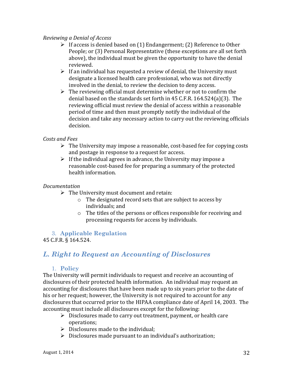#### *Reviewing a Denial of Access*

- $\triangleright$  If access is denied based on (1) Endangerment; (2) Reference to Other People; or (3) Personal Representative (these exceptions are all set forth above), the individual must be given the opportunity to have the denial reviewed.
- $\triangleright$  If an individual has requested a review of denial, the University must designate a licensed health care professional, who was not directly involved in the denial, to review the decision to deny access.
- $\triangleright$  The reviewing official must determine whether or not to confirm the denial based on the standards set forth in  $45$  C.F.R.  $164.524(a)(3)$ . The reviewing official must review the denial of access within a reasonable period of time and then must promptly notify the individual of the decision and take any necessary action to carry out the reviewing officials decision.

#### *Costs and Fees*

- $\triangleright$  The University may impose a reasonable, cost-based fee for copying costs and postage in response to a request for access.
- $\triangleright$  If the individual agrees in advance, the University may impose a reasonable cost-based fee for preparing a summary of the protected health information.

#### *Documentation*

- $\triangleright$  The University must document and retain:
	- $\circ$  The designated record sets that are subject to access by individuals; and
	- $\circ$  The titles of the persons or offices responsible for receiving and processing requests for access by individuals.

#### 3. **Applicable Regulation** 45 C.F.R. § 164.524.

# *L. Right to Request an Accounting of Disclosures*

#### 1. **Policy**

The University will permit individuals to request and receive an accounting of disclosures of their protected health information. An individual may request an accounting for disclosures that have been made up to six years prior to the date of his or her request; however, the University is not required to account for any disclosures that occurred prior to the HIPAA compliance date of April 14, 2003. The accounting must include all disclosures except for the following:

- $\triangleright$  Disclosures made to carry out treatment, payment, or health care operations;
- $\triangleright$  Disclosures made to the individual;
- $\triangleright$  Disclosures made pursuant to an individual's authorization;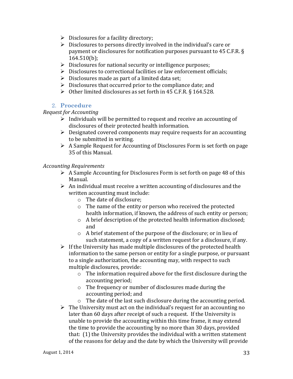- $\triangleright$  Disclosures for a facility directory;
- $\triangleright$  Disclosures to persons directly involved in the individual's care or payment or disclosures for notification purposes pursuant to 45 C.F.R. § 164.510(b);
- $\triangleright$  Disclosures for national security or intelligence purposes;
- $\triangleright$  Disclosures to correctional facilities or law enforcement officials;
- $\triangleright$  Disclosures made as part of a limited data set;
- $\triangleright$  Disclosures that occurred prior to the compliance date; and
- $\triangleright$  Other limited disclosures as set forth in 45 C.F.R. § 164.528.

#### 2. **Procedure**

#### *Request for Accounting*

- $\triangleright$  Individuals will be permitted to request and receive an accounting of disclosures of their protected health information.
- $\triangleright$  Designated covered components may require requests for an accounting to be submitted in writing.
- $\triangleright$  A Sample Request for Accounting of Disclosures Form is set forth on page 35 of this Manual.

#### *Accounting Requirements*

- $\triangleright$  A Sample Accounting for Disclosures Form is set forth on page 48 of this Manual.
- $\triangleright$  An individual must receive a written accounting of disclosures and the written accounting must include:
	- $\circ$  The date of disclosure;
	- $\circ$  The name of the entity or person who received the protected health information, if known, the address of such entity or person;
	- $\circ$  A brief description of the protected health information disclosed; and
	- $\circ$  A brief statement of the purpose of the disclosure; or in lieu of such statement, a copy of a written request for a disclosure, if any.
- $\triangleright$  If the University has made multiple disclosures of the protected health information to the same person or entity for a single purpose, or pursuant to a single authorization, the accounting may, with respect to such multiple disclosures, provide:
	- $\circ$  The information required above for the first disclosure during the accounting period;
	- $\circ$  The frequency or number of disclosures made during the accounting period; and
	- $\circ$  The date of the last such disclosure during the accounting period.
- $\triangleright$  The University must act on the individual's request for an accounting no later than 60 days after receipt of such a request. If the University is unable to provide the accounting within this time frame, it may extend the time to provide the accounting by no more than 30 days, provided that: (1) the University provides the individual with a written statement of the reasons for delay and the date by which the University will provide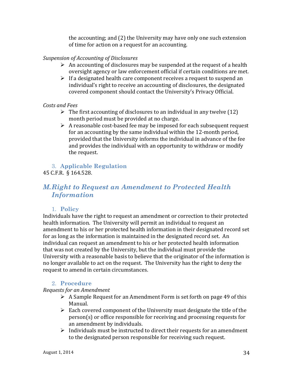the accounting; and (2) the University may have only one such extension of time for action on a request for an accounting.

#### *Suspension of Accounting of Disclosures*

- $\triangleright$  An accounting of disclosures may be suspended at the request of a health oversight agency or law enforcement official if certain conditions are met.
- $\triangleright$  If a designated health care component receives a request to suspend an individual's right to receive an accounting of disclosures, the designated covered component should contact the University's Privacy Official.

#### *Costs and Fees*

- $\triangleright$  The first accounting of disclosures to an individual in any twelve (12) month period must be provided at no charge.
- $\triangleright$  A reasonable cost-based fee may be imposed for each subsequent request for an accounting by the same individual within the 12-month period, provided that the University informs the individual in advance of the fee and provides the individual with an opportunity to withdraw or modify the request.

### 3. **Applicable Regulation**

45 C.F.R. § 164.528.

# *M.Right to Request an Amendment to Protected Health Information*

### 1. **Policy**

Individuals have the right to request an amendment or correction to their protected health information. The University will permit an individual to request an amendment to his or her protected health information in their designated record set for as long as the information is maintained in the designated record set. An individual can request an amendment to his or her protected health information that was not created by the University, but the individual must provide the University with a reasonable basis to believe that the originator of the information is no longer available to act on the request. The University has the right to deny the request to amend in certain circumstances.

#### 2. **Procedure**

*Requests for an Amendment*

- $\triangleright$  A Sample Request for an Amendment Form is set forth on page 49 of this Manual.
- $\triangleright$  Each covered component of the University must designate the title of the  $person(s)$  or office responsible for receiving and processing requests for an amendment by individuals.
- $\triangleright$  Individuals must be instructed to direct their requests for an amendment to the designated person responsible for receiving such request.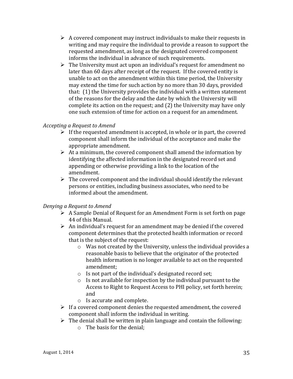- $\triangleright$  A covered component may instruct individuals to make their requests in writing and may require the individual to provide a reason to support the requested amendment, as long as the designated covered component informs the individual in advance of such requirements.
- $\triangleright$  The University must act upon an individual's request for amendment no later than 60 days after receipt of the request. If the covered entity is unable to act on the amendment within this time period, the University may extend the time for such action by no more than 30 days, provided that:  $(1)$  the University provides the individual with a written statement of the reasons for the delay and the date by which the University will complete its action on the request; and (2) the University may have only one such extension of time for action on a request for an amendment.

#### *Accepting a Request to Amend*

- $\triangleright$  If the requested amendment is accepted, in whole or in part, the covered component shall inform the individual of the acceptance and make the appropriate amendment.
- $\triangleright$  At a minimum, the covered component shall amend the information by identifying the affected information in the designated record set and appending or otherwise providing a link to the location of the amendment.
- $\triangleright$  The covered component and the individual should identify the relevant persons or entities, including business associates, who need to be informed about the amendment.

#### *Denying a Request to Amend*

- $\triangleright$  A Sample Denial of Request for an Amendment Form is set forth on page 44 of this Manual.
- $\triangleright$  An individual's request for an amendment may be denied if the covered component determines that the protected health information or record that is the subject of the request:
	- $\circ$  Was not created by the University, unless the individual provides a reasonable basis to believe that the originator of the protected health information is no longer available to act on the requested amendment;
	- $\circ$  Is not part of the individual's designated record set;
	- $\circ$  Is not available for inspection by the individual pursuant to the Access to Right to Request Access to PHI policy, set forth herein; and
	- $\circ$  Is accurate and complete.
- $\triangleright$  If a covered component denies the requested amendment, the covered component shall inform the individual in writing.
- $\triangleright$  The denial shall be written in plain language and contain the following:
	- $\circ$  The basis for the denial: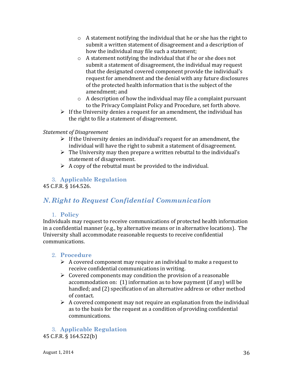- $\circ$  A statement notifying the individual that he or she has the right to submit a written statement of disagreement and a description of how the individual may file such a statement;
- $\circ$  A statement notifying the individual that if he or she does not submit a statement of disagreement, the individual may request that the designated covered component provide the individual's request for amendment and the denial with any future disclosures of the protected health information that is the subject of the amendment; and
- $\circ$  A description of how the individual may file a complaint pursuant to the Privacy Complaint Policy and Procedure, set forth above.
- $\triangleright$  If the University denies a request for an amendment, the individual has the right to file a statement of disagreement.

#### *Statement of Disagreement*

- $\triangleright$  If the University denies an individual's request for an amendment, the individual will have the right to submit a statement of disagreement.
- $\triangleright$  The University may then prepare a written rebuttal to the individual's statement of disagreement.
- $\triangleright$  A copy of the rebuttal must be provided to the individual.

### 3. **Applicable Regulation**

45 C.F.R. § 164.526.

# *N.Right to Request Confidential Communication*

#### 1. **Policy**

Individuals may request to receive communications of protected health information in a confidential manner (e.g., by alternative means or in alternative locations). The University shall accommodate reasonable requests to receive confidential communications.

### 2. **Procedure**

- $\triangleright$  A covered component may require an individual to make a request to receive confidential communications in writing.
- $\triangleright$  Covered components may condition the provision of a reasonable accommodation on:  $(1)$  information as to how payment  $(if \text{ any})$  will be handled; and (2) specification of an alternative address or other method of contact.
- $\triangleright$  A covered component may not require an explanation from the individual as to the basis for the request as a condition of providing confidential communications.

3. **Applicable Regulation** 45 C.F.R. § 164.522(b)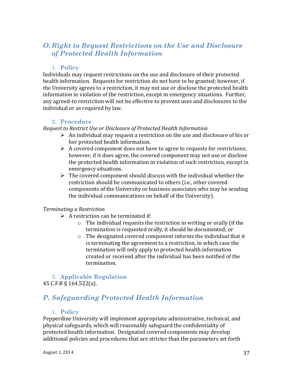# *O. Right to Request Restrictions on the Use and Disclosure of Protected Health Information*

#### 1. **Policy**

Individuals may request restrictions on the use and disclosure of their protected health information. Requests for restriction do not have to be granted; however, if the University agrees to a restriction, it may not use or disclose the protected health information in violation of the restriction, except in emergency situations. Further, any agreed-to restriction will not be effective to prevent uses and disclosures to the individual or as required by law.

#### 2. **Procedure**

*Request to Restrict Use or Disclosure of Protected Health Information*

- $\triangleright$  An individual may request a restriction on the use and disclosure of his or her protected health information.
- $\triangleright$  A covered component does not have to agree to requests for restrictions; however, if it does agree, the covered component may not use or disclose the protected health information in violation of such restriction, except in emergency situations.
- $\triangleright$  The covered component should discuss with the individual whether the restriction should be communicated to others (i.e., other covered components of the University or business associates who may be sending the individual communications on behalf of the University).

#### *Terminating a Restriction*

- $\triangleright$  A restriction can be terminated if:
	- $\circ$  The individual requests the restriction in writing or orally (if the termination is requested orally, it should be documented; or
	- $\circ$  The designated covered component informs the individual that it is terminating the agreement to a restriction, in which case the termination will only apply to protected health information created or received after the individual has been notified of the termination.

#### 3. **Applicable Regulation** 45 C.F.R § 164.522(a).

# *P. Safeguarding Protected Health Information*

#### 1. **Policy**

Pepperdine University will implement appropriate administrative, technical, and physical safeguards, which will reasonably safeguard the confidentiality of protected health information. Designated covered components may develop additional policies and procedures that are stricter than the parameters set forth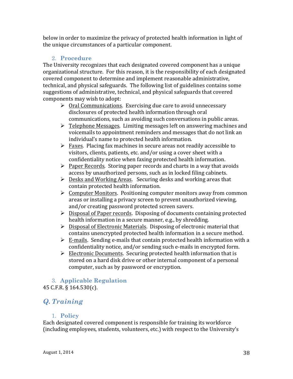below in order to maximize the privacy of protected health information in light of the unique circumstances of a particular component.

### 2. **Procedure**

The University recognizes that each designated covered component has a unique organizational structure. For this reason, it is the responsibility of each designated covered component to determine and implement reasonable administrative, technical, and physical safeguards. The following list of guidelines contains some suggestions of administrative, technical, and physical safeguards that covered components may wish to adopt:

- $\triangleright$  Oral Communications. Exercising due care to avoid unnecessary disclosures of protected health information through oral communications, such as avoiding such conversations in public areas.
- $\triangleright$  Telephone Messages. Limiting messages left on answering machines and voicemails to appointment reminders and messages that do not link an individual's name to protected health information.
- $\triangleright$  Faxes. Placing fax machines in secure areas not readily accessible to visitors, clients, patients, etc. and/or using a cover sheet with a confidentiality notice when faxing protected health information.
- $\triangleright$  Paper Records. Storing paper records and charts in a way that avoids access by unauthorized persons, such as in locked filing cabinets.
- $\triangleright$  Desks and Working Areas. Securing desks and working areas that contain protected health information.
- $\triangleright$  Computer Monitors. Positioning computer monitors away from common areas or installing a privacy screen to prevent unauthorized viewing, and/or creating password protected screen savers.
- $\triangleright$  Disposal of Paper records. Disposing of documents containing protected health information in a secure manner, e.g., by shredding.
- $\triangleright$  Disposal of Electronic Materials. Disposing of electronic material that contains unencrypted protected health information in a secure method.
- $\triangleright$  E-mails. Sending e-mails that contain protected health information with a confidentiality notice, and/or sending such e-mails in encrypted form.
- $\triangleright$  Electronic Documents. Securing protected health information that is stored on a hard disk drive or other internal component of a personal computer, such as by password or encryption.

# 3. **Applicable Regulation**

45 C.F.R. § 164.530(c).

# *Q. Training*

### 1. **Policy**

Each designated covered component is responsible for training its workforce (including employees, students, volunteers, etc.) with respect to the University's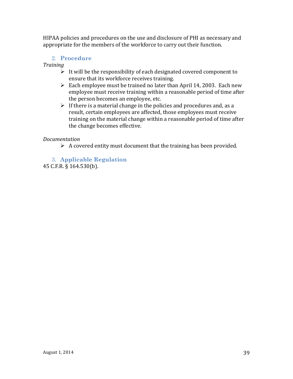HIPAA policies and procedures on the use and disclosure of PHI as necessary and appropriate for the members of the workforce to carry out their function.

#### 2. **Procedure**

*Training*

- $\triangleright$  It will be the responsibility of each designated covered component to ensure that its workforce receives training.
- $\triangleright$  Each employee must be trained no later than April 14, 2003. Each new employee must receive training within a reasonable period of time after the person becomes an employee, etc.
- $\triangleright$  If there is a material change in the policies and procedures and, as a result, certain employees are affected, those employees must receive training on the material change within a reasonable period of time after the change becomes effective.

#### *Documentation*

 $\triangleright$  A covered entity must document that the training has been provided.

#### 3. **Applicable Regulation**

45 C.F.R. § 164.530(b).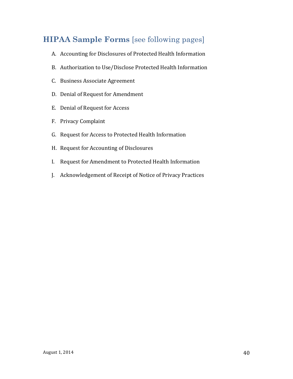# **HIPAA Sample Forms** [see following pages]

- A. Accounting for Disclosures of Protected Health Information
- B. Authorization to Use/Disclose Protected Health Information
- C. Business Associate Agreement
- D. Denial of Request for Amendment
- E. Denial of Request for Access
- F. Privacy Complaint
- G. Request for Access to Protected Health Information
- H. Request for Accounting of Disclosures
- I. Request for Amendment to Protected Health Information
- J. Acknowledgement of Receipt of Notice of Privacy Practices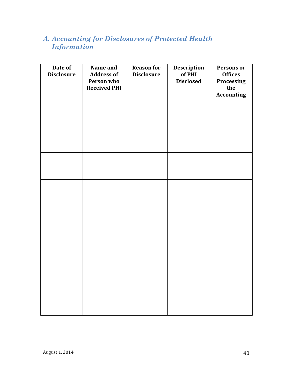# *A. Accounting for Disclosures of Protected Health Information*

| Date of<br><b>Disclosure</b> | Name and<br><b>Address of</b><br>Person who<br><b>Received PHI</b> | <b>Reason for</b><br><b>Disclosure</b> | <b>Description</b><br>of PHI<br><b>Disclosed</b> | Persons or<br><b>Offices</b><br>Processing<br>the<br><b>Accounting</b> |
|------------------------------|--------------------------------------------------------------------|----------------------------------------|--------------------------------------------------|------------------------------------------------------------------------|
|                              |                                                                    |                                        |                                                  |                                                                        |
|                              |                                                                    |                                        |                                                  |                                                                        |
|                              |                                                                    |                                        |                                                  |                                                                        |
|                              |                                                                    |                                        |                                                  |                                                                        |
|                              |                                                                    |                                        |                                                  |                                                                        |
|                              |                                                                    |                                        |                                                  |                                                                        |
|                              |                                                                    |                                        |                                                  |                                                                        |
|                              |                                                                    |                                        |                                                  |                                                                        |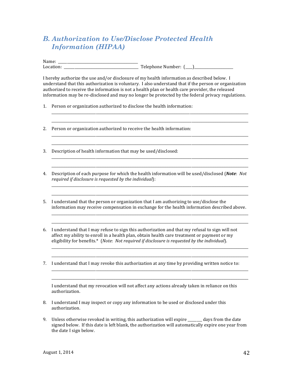# *B. Authorization to Use/Disclose Protected Health Information (HIPAA)*

Name: \_\_\_\_\_\_\_\_\_\_\_\_\_\_\_\_\_\_\_\_\_\_\_\_\_\_\_\_\_\_\_\_\_\_\_\_\_\_\_\_\_\_\_\_\_ Location: \_\_\_\_\_\_\_\_\_\_\_\_\_\_\_\_\_\_\_\_\_\_\_\_\_\_\_\_\_\_\_\_\_\_\_\_\_\_\_\_\_\_ Telephone Number: (\_\_\_\_)\_\_\_\_\_\_\_\_\_\_\_\_\_\_\_\_\_\_\_\_\_\_

I hereby authorize the use and/or disclosure of my health information as described below. I understand that this authorization is voluntary. I also understand that if the person or organization authorized to receive the information is not a health plan or health care provider, the released information may be re-disclosed and may no longer be protected by the federal privacy regulations.

\_\_\_\_\_\_\_\_\_\_\_\_\_\_\_\_\_\_\_\_\_\_\_\_\_\_\_\_\_\_\_\_\_\_\_\_\_\_\_\_\_\_\_\_\_\_\_\_\_\_\_\_\_\_\_\_\_\_\_\_\_\_\_\_\_\_\_\_\_\_\_\_\_\_\_\_\_\_\_\_\_\_\_\_\_\_\_\_\_\_\_\_\_\_\_\_\_\_\_\_\_\_\_\_\_\_\_\_\_\_\_ \_\_\_\_\_\_\_\_\_\_\_\_\_\_\_\_\_\_\_\_\_\_\_\_\_\_\_\_\_\_\_\_\_\_\_\_\_\_\_\_\_\_\_\_\_\_\_\_\_\_\_\_\_\_\_\_\_\_\_\_\_\_\_\_\_\_\_\_\_\_\_\_\_\_\_\_\_\_\_\_\_\_\_\_\_\_\_\_\_\_\_\_\_\_\_\_\_\_\_\_\_\_\_\_\_\_\_\_\_\_\_

\_\_\_\_\_\_\_\_\_\_\_\_\_\_\_\_\_\_\_\_\_\_\_\_\_\_\_\_\_\_\_\_\_\_\_\_\_\_\_\_\_\_\_\_\_\_\_\_\_\_\_\_\_\_\_\_\_\_\_\_\_\_\_\_\_\_\_\_\_\_\_\_\_\_\_\_\_\_\_\_\_\_\_\_\_\_\_\_\_\_\_\_\_\_\_\_\_\_\_\_\_\_\_\_\_\_\_\_\_\_\_ \_\_\_\_\_\_\_\_\_\_\_\_\_\_\_\_\_\_\_\_\_\_\_\_\_\_\_\_\_\_\_\_\_\_\_\_\_\_\_\_\_\_\_\_\_\_\_\_\_\_\_\_\_\_\_\_\_\_\_\_\_\_\_\_\_\_\_\_\_\_\_\_\_\_\_\_\_\_\_\_\_\_\_\_\_\_\_\_\_\_\_\_\_\_\_\_\_\_\_\_\_\_\_\_\_\_\_\_\_\_\_

\_\_\_\_\_\_\_\_\_\_\_\_\_\_\_\_\_\_\_\_\_\_\_\_\_\_\_\_\_\_\_\_\_\_\_\_\_\_\_\_\_\_\_\_\_\_\_\_\_\_\_\_\_\_\_\_\_\_\_\_\_\_\_\_\_\_\_\_\_\_\_\_\_\_\_\_\_\_\_\_\_\_\_\_\_\_\_\_\_\_\_\_\_\_\_\_\_\_\_\_\_\_\_\_\_\_\_\_\_\_\_ \_\_\_\_\_\_\_\_\_\_\_\_\_\_\_\_\_\_\_\_\_\_\_\_\_\_\_\_\_\_\_\_\_\_\_\_\_\_\_\_\_\_\_\_\_\_\_\_\_\_\_\_\_\_\_\_\_\_\_\_\_\_\_\_\_\_\_\_\_\_\_\_\_\_\_\_\_\_\_\_\_\_\_\_\_\_\_\_\_\_\_\_\_\_\_\_\_\_\_\_\_\_\_\_\_\_\_\_\_\_\_

\_\_\_\_\_\_\_\_\_\_\_\_\_\_\_\_\_\_\_\_\_\_\_\_\_\_\_\_\_\_\_\_\_\_\_\_\_\_\_\_\_\_\_\_\_\_\_\_\_\_\_\_\_\_\_\_\_\_\_\_\_\_\_\_\_\_\_\_\_\_\_\_\_\_\_\_\_\_\_\_\_\_\_\_\_\_\_\_\_\_\_\_\_\_\_\_\_\_\_\_\_\_\_\_\_\_\_\_\_\_\_ \_\_\_\_\_\_\_\_\_\_\_\_\_\_\_\_\_\_\_\_\_\_\_\_\_\_\_\_\_\_\_\_\_\_\_\_\_\_\_\_\_\_\_\_\_\_\_\_\_\_\_\_\_\_\_\_\_\_\_\_\_\_\_\_\_\_\_\_\_\_\_\_\_\_\_\_\_\_\_\_\_\_\_\_\_\_\_\_\_\_\_\_\_\_\_\_\_\_\_\_\_\_\_\_\_\_\_\_\_\_\_

\_\_\_\_\_\_\_\_\_\_\_\_\_\_\_\_\_\_\_\_\_\_\_\_\_\_\_\_\_\_\_\_\_\_\_\_\_\_\_\_\_\_\_\_\_\_\_\_\_\_\_\_\_\_\_\_\_\_\_\_\_\_\_\_\_\_\_\_\_\_\_\_\_\_\_\_\_\_\_\_\_\_\_\_\_\_\_\_\_\_\_\_\_\_\_\_\_\_\_\_\_\_\_\_\_\_\_\_\_\_\_ \_\_\_\_\_\_\_\_\_\_\_\_\_\_\_\_\_\_\_\_\_\_\_\_\_\_\_\_\_\_\_\_\_\_\_\_\_\_\_\_\_\_\_\_\_\_\_\_\_\_\_\_\_\_\_\_\_\_\_\_\_\_\_\_\_\_\_\_\_\_\_\_\_\_\_\_\_\_\_\_\_\_\_\_\_\_\_\_\_\_\_\_\_\_\_\_\_\_\_\_\_\_\_\_\_\_\_\_\_\_\_

\_\_\_\_\_\_\_\_\_\_\_\_\_\_\_\_\_\_\_\_\_\_\_\_\_\_\_\_\_\_\_\_\_\_\_\_\_\_\_\_\_\_\_\_\_\_\_\_\_\_\_\_\_\_\_\_\_\_\_\_\_\_\_\_\_\_\_\_\_\_\_\_\_\_\_\_\_\_\_\_\_\_\_\_\_\_\_\_\_\_\_\_\_\_\_\_\_\_\_\_\_\_\_\_\_\_\_\_\_\_\_ \_\_\_\_\_\_\_\_\_\_\_\_\_\_\_\_\_\_\_\_\_\_\_\_\_\_\_\_\_\_\_\_\_\_\_\_\_\_\_\_\_\_\_\_\_\_\_\_\_\_\_\_\_\_\_\_\_\_\_\_\_\_\_\_\_\_\_\_\_\_\_\_\_\_\_\_\_\_\_\_\_\_\_\_\_\_\_\_\_\_\_\_\_\_\_\_\_\_\_\_\_\_\_\_\_\_\_\_\_\_\_

\_\_\_\_\_\_\_\_\_\_\_\_\_\_\_\_\_\_\_\_\_\_\_\_\_\_\_\_\_\_\_\_\_\_\_\_\_\_\_\_\_\_\_\_\_\_\_\_\_\_\_\_\_\_\_\_\_\_\_\_\_\_\_\_\_\_\_\_\_\_\_\_\_\_\_\_\_\_\_\_\_\_\_\_\_\_\_\_\_\_\_\_\_\_\_\_\_\_\_\_\_\_\_\_\_\_\_\_\_\_\_ \_\_\_\_\_\_\_\_\_\_\_\_\_\_\_\_\_\_\_\_\_\_\_\_\_\_\_\_\_\_\_\_\_\_\_\_\_\_\_\_\_\_\_\_\_\_\_\_\_\_\_\_\_\_\_\_\_\_\_\_\_\_\_\_\_\_\_\_\_\_\_\_\_\_\_\_\_\_\_\_\_\_\_\_\_\_\_\_\_\_\_\_\_\_\_\_\_\_\_\_\_\_\_\_\_\_\_\_\_\_\_

- 1. Person or organization authorized to disclose the health information:
- 2. Person or organization authorized to receive the health information:
- 3. Description of health information that may be used/disclosed:
- 4. Description of each purpose for which the health information will be used/disclosed (Note: Not *required if disclosure is requested by the individual*):
- 5. I understand that the person or organization that I am authorizing to use/disclose the information may receive compensation in exchange for the health information described above.
- 6. I understand that I may refuse to sign this authorization and that my refusal to sign will not affect my ability to enroll in a health plan, obtain health care treatment or payment or my eligibility for benefits.\* (*Note*: *Not required if disclosure is requested by the individual*).
- 7. I understand that I may revoke this authorization at any time by providing written notice to:

I understand that my revocation will not affect any actions already taken in reliance on this authorization.

- 8. I understand I may inspect or copy any information to be used or disclosed under this authorization.
- 9. Unless otherwise revoked in writing, this authorization will expire  $\frac{1}{2}$  days from the date signed below. If this date is left blank, the authorization will automatically expire one year from the date I sign below.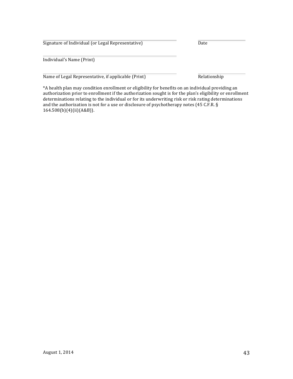Signature of Individual (or Legal Representative) Date

Individual's Name (Print)

Name of Legal Representative, if applicable (Print) Relationship

\*A health plan may condition enrollment or eligibility for benefits on an individual providing an authorization prior to enrollment if the authorization sought is for the plan's eligibility or enrollment determinations relating to the individual or for its underwriting risk or risk rating determinations and the authorization is not for a use or disclosure of psychotherapy notes (45 C.F.R.  $\S$ 164.508(b)(4)(ii)(A&B)).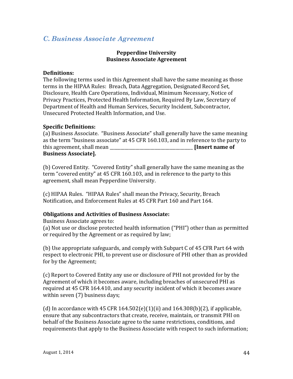### *C. Business Associate Agreement*

#### **Pepperdine University Business Associate Agreement**

#### **Definitions:**

The following terms used in this Agreement shall have the same meaning as those terms in the HIPAA Rules: Breach, Data Aggregation, Designated Record Set, Disclosure, Health Care Operations, Individual, Minimum Necessary, Notice of Privacy Practices, Protected Health Information, Required By Law, Secretary of Department of Health and Human Services, Security Incident, Subcontractor, Unsecured Protected Health Information, and Use.

#### **Specific Definitions:**

(a) Business Associate. "Business Associate" shall generally have the same meaning as the term "business associate" at 45 CFR 160.103, and in reference to the party to this agreement, shall mean **Letter and Letter and Letter and Solution insert name of Business Associate].**

(b) Covered Entity. "Covered Entity" shall generally have the same meaning as the term "covered entity" at 45 CFR 160.103, and in reference to the party to this agreement, shall mean Pepperdine University.

(c) HIPAA Rules. "HIPAA Rules" shall mean the Privacy, Security, Breach Notification, and Enforcement Rules at 45 CFR Part 160 and Part 164.

#### **Obligations and Activities of Business Associate:**

Business Associate agrees to:

(a) Not use or disclose protected health information ("PHI") other than as permitted or required by the Agreement or as required by law;

(b) Use appropriate safeguards, and comply with Subpart C of 45 CFR Part 64 with respect to electronic PHI, to prevent use or disclosure of PHI other than as provided for by the Agreement;

(c) Report to Covered Entity any use or disclosure of PHI not provided for by the Agreement of which it becomes aware, including breaches of unsecured PHI as required at 45 CFR 164.410, and any security incident of which it becomes aware within seven (7) business days;

(d) In accordance with  $45$  CFR  $164.502(e)(1)(ii)$  and  $164.308(b)(2)$ , if applicable, ensure that any subcontractors that create, receive, maintain, or transmit PHI on behalf of the Business Associate agree to the same restrictions, conditions, and requirements that apply to the Business Associate with respect to such information;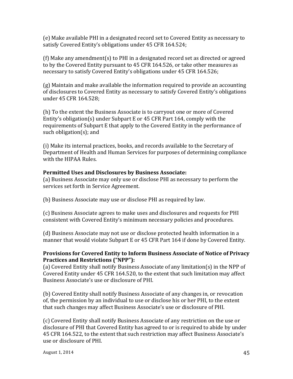(e) Make available PHI in a designated record set to Covered Entity as necessary to satisfy Covered Entity's obligations under 45 CFR 164.524;

(f) Make any amendment(s) to PHI in a designated record set as directed or agreed to by the Covered Entity pursuant to 45 CFR 164.526, or take other measures as necessary to satisfy Covered Entity's obligations under 45 CFR 164.526;

 $(g)$  Maintain and make available the information required to provide an accounting of disclosures to Covered Entity as necessary to satisfy Covered Entity's obligations under 45 CFR 164.528;

(h) To the extent the Business Associate is to carryout one or more of Covered Entity's obligation(s) under Subpart E or 45 CFR Part 164, comply with the requirements of Subpart E that apply to the Covered Entity in the performance of such obligation(s); and

(i) Make its internal practices, books, and records available to the Secretary of Department of Health and Human Services for purposes of determining compliance with the HIPAA Rules.

#### **Permitted Uses and Disclosures by Business Associate:**

(a) Business Associate may only use or disclose PHI as necessary to perform the services set forth in Service Agreement.

(b) Business Associate may use or disclose PHI as required by law.

(c) Business Associate agrees to make uses and disclosures and requests for PHI consistent with Covered Entity's minimum necessary policies and procedures.

(d) Business Associate may not use or disclose protected health information in a manner that would violate Subpart E or 45 CFR Part 164 if done by Covered Entity.

#### **Provisions for Covered Entity to Inform Business Associate of Notice of Privacy Practices and Restrictions ("NPP"):**

(a) Covered Entity shall notify Business Associate of any limitation(s) in the NPP of Covered Entity under 45 CFR 164.520, to the extent that such limitation may affect Business Associate's use or disclosure of PHI.

(b) Covered Entity shall notify Business Associate of any changes in, or revocation of, the permission by an individual to use or disclose his or her PHI, to the extent that such changes may affect Business Associate's use or disclosure of PHI.

(c) Covered Entity shall notify Business Associate of any restriction on the use or disclosure of PHI that Covered Entity has agreed to or is required to abide by under 45 CFR 164.522, to the extent that such restriction may affect Business Associate's use or disclosure of PHI.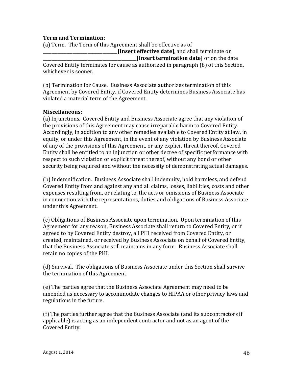#### **Term and Termination:**

(a) Term. The Term of this Agreement shall be effective as of **[Insert effective date]**, and shall terminate on **[Insert termination date]** or on the date

Covered Entity terminates for cause as authorized in paragraph (b) of this Section, whichever is sooner.

(b) Termination for Cause. Business Associate authorizes termination of this Agreement by Covered Entity, if Covered Entity determines Business Associate has violated a material term of the Agreement.

#### **Miscellaneous:**

(a) Injunctions. Covered Entity and Business Associate agree that any violation of the provisions of this Agreement may cause irreparable harm to Covered Entity. Accordingly, in addition to any other remedies available to Covered Entity at law, in equity, or under this Agreement, in the event of any violation by Business Associate of any of the provisions of this Agreement, or any explicit threat thereof, Covered Entity shall be entitled to an injunction or other decree of specific performance with respect to such violation or explicit threat thereof, without any bond or other security being required and without the necessity of demonstrating actual damages.

(b) Indemnification. Business Associate shall indemnify, hold harmless, and defend Covered Entity from and against any and all claims, losses, liabilities, costs and other expenses resulting from, or relating to, the acts or omissions of Business Associate in connection with the representations, duties and obligations of Business Associate under this Agreement.

(c) Obligations of Business Associate upon termination. Upon termination of this Agreement for any reason, Business Associate shall return to Covered Entity, or if agreed to by Covered Entity destroy, all PHI received from Covered Entity, or created, maintained, or received by Business Associate on behalf of Covered Entity, that the Business Associate still maintains in any form. Business Associate shall retain no copies of the PHI.

(d) Survival. The obligations of Business Associate under this Section shall survive the termination of this Agreement.

(e) The parties agree that the Business Associate Agreement may need to be amended as necessary to accommodate changes to HIPAA or other privacy laws and regulations in the future.

(f) The parties further agree that the Business Associate (and its subcontractors if applicable) is acting as an independent contractor and not as an agent of the Covered Entity.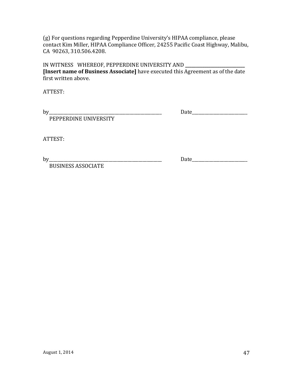(g) For questions regarding Pepperdine University's HIPAA compliance, please contact Kim Miller, HIPAA Compliance Officer, 24255 Pacific Coast Highway, Malibu, CA 90263, 310.506.4208.

IN WITNESS WHEREOF, PEPPERDINE UNIVERSITY AND \_\_\_\_\_\_\_\_\_\_\_\_\_\_\_\_\_\_\_\_\_\_\_\_\_\_\_\_\_\_\_\_\_\_ **[Insert name of Business Associate]** have executed this Agreement as of the date first written above.

ATTEST:

by\_\_\_\_\_\_\_\_\_\_\_\_\_\_\_\_\_\_\_\_\_\_\_\_\_\_\_\_\_\_\_\_\_\_\_\_\_\_\_\_\_\_\_\_\_\_\_\_\_\_\_\_\_ Date\_\_\_\_\_\_\_\_\_\_\_\_\_\_\_\_\_\_\_\_\_\_\_\_\_\_

PEPPERDINE UNIVERSITY

ATTEST:

 BUSINESS ASSOCIATE

by\_\_\_\_\_\_\_\_\_\_\_\_\_\_\_\_\_\_\_\_\_\_\_\_\_\_\_\_\_\_\_\_\_\_\_\_\_\_\_\_\_\_\_\_\_\_\_\_\_\_\_\_\_ Date\_\_\_\_\_\_\_\_\_\_\_\_\_\_\_\_\_\_\_\_\_\_\_\_\_\_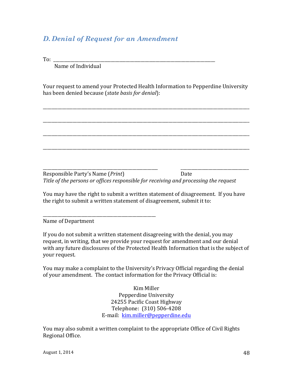# *D. Denial of Request for an Amendment*

To: \_\_\_\_\_\_\_\_\_\_\_\_\_\_\_\_\_\_\_\_\_\_\_\_\_\_\_\_\_\_\_\_\_\_\_\_\_\_\_\_\_\_\_\_\_\_\_\_\_\_\_\_\_\_\_\_\_\_\_\_\_\_\_\_\_\_\_\_\_\_\_\_\_\_\_\_

Name of Individual

Your request to amend your Protected Health Information to Pepperdine University has been denied because (*state basis for denial*):

\_\_\_\_\_\_\_\_\_\_\_\_\_\_\_\_\_\_\_\_\_\_\_\_\_\_\_\_\_\_\_\_\_\_\_\_\_\_\_\_\_\_\_\_\_\_\_\_\_\_\_\_\_\_\_\_\_\_\_\_\_\_\_\_\_\_\_\_\_\_\_\_\_\_\_\_\_\_\_\_\_\_\_\_\_\_\_\_\_\_\_\_\_\_\_\_\_

\_\_\_\_\_\_\_\_\_\_\_\_\_\_\_\_\_\_\_\_\_\_\_\_\_\_\_\_\_\_\_\_\_\_\_\_\_\_\_\_\_\_\_\_\_\_\_\_\_\_\_\_\_\_\_\_\_\_\_\_\_\_\_\_\_\_\_\_\_\_\_\_\_\_\_\_\_\_\_\_\_\_\_\_\_\_\_\_\_\_\_\_\_\_\_\_\_

\_\_\_\_\_\_\_\_\_\_\_\_\_\_\_\_\_\_\_\_\_\_\_\_\_\_\_\_\_\_\_\_\_\_\_\_\_\_\_\_\_\_\_\_\_\_\_\_\_\_\_\_\_\_\_\_\_\_\_\_\_\_\_\_\_\_\_\_\_\_\_\_\_\_\_\_\_\_\_\_\_\_\_\_\_\_\_\_\_\_\_\_\_\_\_\_\_

\_\_\_\_\_\_\_\_\_\_\_\_\_\_\_\_\_\_\_\_\_\_\_\_\_\_\_\_\_\_\_\_\_\_\_\_\_\_\_\_\_\_\_\_\_\_\_\_\_\_\_\_\_\_\_\_\_\_\_\_\_\_\_\_\_\_\_\_\_\_\_\_\_\_\_\_\_\_\_\_\_\_\_\_\_\_\_\_\_\_\_\_\_\_\_\_\_

\_\_\_\_\_\_\_\_\_\_\_\_\_\_\_\_\_\_\_\_\_\_\_\_\_\_\_\_\_\_\_\_\_\_\_\_\_\_\_\_\_\_\_\_\_\_\_\_\_\_\_\_\_\_ \_\_\_\_\_\_\_\_\_\_\_\_\_\_\_\_\_\_\_\_\_\_\_\_\_\_\_\_\_\_\_\_

Responsible Party's Name (*Print*) Date Title of the persons or offices responsible for receiving and processing the request

You may have the right to submit a written statement of disagreement. If you have the right to submit a written statement of disagreement, submit it to:

Name of Department

\_\_\_\_\_\_\_\_\_\_\_\_\_\_\_\_\_\_\_\_\_\_\_\_\_\_\_\_\_\_\_\_\_\_\_\_\_\_\_\_\_\_\_\_\_\_\_\_\_\_\_\_\_

If you do not submit a written statement disagreeing with the denial, you may request, in writing, that we provide your request for amendment and our denial with any future disclosures of the Protected Health Information that is the subject of your request.

You may make a complaint to the University's Privacy Official regarding the denial of your amendment. The contact information for the Privacy Official is:

> Kim Miller Pepperdine University 24255 Pacific Coast Highway Telephone: (310) 506-4208 E-mail: kim.miller@pepperdine.edu

You may also submit a written complaint to the appropriate Office of Civil Rights Regional Office.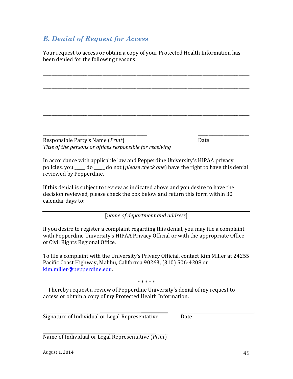# *E. Denial of Request for Access*

Your request to access or obtain a copy of your Protected Health Information has been denied for the following reasons:

\_\_\_\_\_\_\_\_\_\_\_\_\_\_\_\_\_\_\_\_\_\_\_\_\_\_\_\_\_\_\_\_\_\_\_\_\_\_\_\_\_\_\_\_\_\_\_\_\_\_\_\_\_\_\_\_\_\_\_\_\_\_\_\_\_\_\_\_\_\_\_\_\_\_\_\_\_\_\_\_\_\_\_\_\_\_\_\_\_\_\_\_\_\_\_\_\_

\_\_\_\_\_\_\_\_\_\_\_\_\_\_\_\_\_\_\_\_\_\_\_\_\_\_\_\_\_\_\_\_\_\_\_\_\_\_\_\_\_\_\_\_\_\_\_\_\_\_\_\_\_\_\_\_\_\_\_\_\_\_\_\_\_\_\_\_\_\_\_\_\_\_\_\_\_\_\_\_\_\_\_\_\_\_\_\_\_\_\_\_\_\_\_\_\_

\_\_\_\_\_\_\_\_\_\_\_\_\_\_\_\_\_\_\_\_\_\_\_\_\_\_\_\_\_\_\_\_\_\_\_\_\_\_\_\_\_\_\_\_\_\_\_\_\_\_\_\_\_\_\_\_\_\_\_\_\_\_\_\_\_\_\_\_\_\_\_\_\_\_\_\_\_\_\_\_\_\_\_\_\_\_\_\_\_\_\_\_\_\_\_\_\_

\_\_\_\_\_\_\_\_\_\_\_\_\_\_\_\_\_\_\_\_\_\_\_\_\_\_\_\_\_\_\_\_\_\_\_\_\_\_\_\_\_\_\_\_\_\_\_\_\_\_\_\_\_\_\_\_\_\_\_\_\_\_\_\_\_\_\_\_\_\_\_\_\_\_\_\_\_\_\_\_\_\_\_\_\_\_\_\_\_\_\_\_\_\_\_\_\_

\_\_\_\_\_\_\_\_\_\_\_\_\_\_\_\_\_\_\_\_\_\_\_\_\_\_\_\_\_\_\_\_\_\_\_\_\_\_\_\_\_\_\_\_\_\_\_\_\_ \_\_\_\_\_\_\_\_\_\_\_\_\_\_\_\_\_\_\_\_\_\_\_\_

Responsible Party's Name (*Print*) Date Title of the persons or offices responsible for receiving

In accordance with applicable law and Pepperdine University's HIPAA privacy policies, you \_\_\_\_\_ do \_\_\_\_\_ do not (*please check one*) have the right to have this denial reviewed by Pepperdine.

If this denial is subject to review as indicated above and you desire to have the decision reviewed, please check the box below and return this form within 30 calendar days to:

[*name of department and address*]

If you desire to register a complaint regarding this denial, you may file a complaint with Pepperdine University's HIPAA Privacy Official or with the appropriate Office of Civil Rights Regional Office.

To file a complaint with the University's Privacy Official, contact Kim Miller at 24255 Pacific Coast Highway, Malibu, California 90263, (310) 506-4208 or kim.miller@pepperdine.edu.

\* \* \* \* \*

I hereby request a review of Pepperdine University's denial of my request to access or obtain a copy of my Protected Health Information.

Signature of Individual or Legal Representative Date

Name of Individual or Legal Representative (*Print*)

August  $1, 2014$  49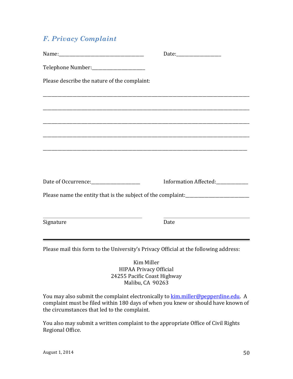# *F. Privacy Complaint*

| Telephone Number:_______________________                                                                                           |                                                                                                                                    |
|------------------------------------------------------------------------------------------------------------------------------------|------------------------------------------------------------------------------------------------------------------------------------|
| Please describe the nature of the complaint:                                                                                       |                                                                                                                                    |
|                                                                                                                                    |                                                                                                                                    |
|                                                                                                                                    |                                                                                                                                    |
|                                                                                                                                    |                                                                                                                                    |
|                                                                                                                                    |                                                                                                                                    |
|                                                                                                                                    | Information Affected:                                                                                                              |
|                                                                                                                                    | Please name the entity that is the subject of the complaint:<br><u>Lease name the entity that is the subject of the complaint:</u> |
| <u> 1980 - Johann Stoff, deutscher Stoff, der Stoff, der Stoff, der Stoff, der Stoff, der Stoff, der Stoff, der S</u><br>Signature | <u> 1980 - Johann Barnett, fransk politik (d. 1980)</u><br>Date                                                                    |
| Please mail this form to the University's Privacy Official at the following address:                                               |                                                                                                                                    |
|                                                                                                                                    | Kim Miller<br><b>HIPAA Privacy Official</b><br>24255 Pacific Coast Highway<br>Malibu, CA 90263                                     |

You may also submit the complaint electronically to **kim.miller@pepperdine.edu**. A complaint must be filed within 180 days of when you knew or should have known of the circumstances that led to the complaint.

You also may submit a written complaint to the appropriate Office of Civil Rights Regional Office.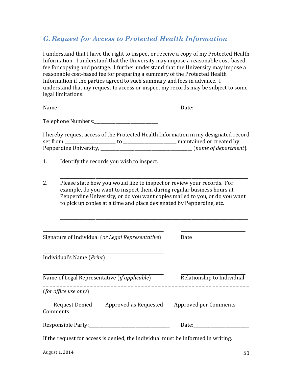# *G. Request for Access to Protected Health Information*

I understand that I have the right to inspect or receive a copy of my Protected Health Information. I understand that the University may impose a reasonable cost-based fee for copying and postage. I further understand that the University may impose a reasonable cost-based fee for preparing a summary of the Protected Health Information if the parties agreed to such summary and fees in advance. I understand that my request to access or inspect my records may be subject to some legal limitations.

Telephone Numbers:\_\_\_\_\_\_\_\_\_\_\_\_\_\_\_\_\_\_\_\_\_\_\_\_\_\_\_\_\_\_

I hereby request access of the Protected Health Information in my designated record set from \_\_\_\_\_\_\_\_\_\_\_\_\_\_\_\_\_\_\_\_\_\_\_\_ to \_\_\_\_\_\_\_\_\_\_\_\_\_\_\_\_\_\_\_\_\_\_\_\_\_ maintained or created by Pepperdine University, \_\_\_\_\_\_\_\_\_\_\_\_\_\_\_\_\_\_\_\_\_\_\_\_\_\_\_\_\_\_\_\_\_\_\_\_\_\_\_\_\_\_\_ (*name of department*).

- 1. Identify the records you wish to inspect.
- 2. Please state how you would like to inspect or review your records. For example, do you want to inspect them during regular business hours at Pepperdine University, or do you want copies mailed to you, or do you want to pick up copies at a time and place designated by Pepperdine, etc.

\_\_\_\_\_\_\_\_\_\_\_\_\_\_\_\_\_\_\_\_\_\_\_\_\_\_\_\_\_\_\_\_\_\_\_\_\_\_\_\_\_\_\_\_\_\_\_\_\_\_\_\_\_\_\_\_\_\_\_\_\_\_\_\_\_\_\_\_\_\_\_\_\_\_\_\_\_\_\_\_\_\_\_\_\_\_\_\_\_\_\_\_\_\_\_\_\_\_\_\_\_\_\_\_\_\_ \_\_\_\_\_\_\_\_\_\_\_\_\_\_\_\_\_\_\_\_\_\_\_\_\_\_\_\_\_\_\_\_\_\_\_\_\_\_\_\_\_\_\_\_\_\_\_\_\_\_\_\_\_\_\_\_\_\_\_\_\_\_\_\_\_\_\_\_\_\_\_\_\_\_\_\_\_\_\_\_\_\_\_\_\_\_\_\_\_\_\_\_\_\_\_\_\_\_\_\_\_\_\_\_\_\_

\_\_\_\_\_\_\_\_\_\_\_\_\_\_\_\_\_\_\_\_\_\_\_\_\_\_\_\_\_\_\_\_\_\_\_\_\_\_\_\_\_\_\_\_\_\_\_\_\_\_\_\_\_\_\_\_\_\_\_\_\_\_\_\_\_\_\_\_\_\_\_\_\_\_\_\_\_\_\_\_\_\_\_\_\_\_\_\_\_\_\_\_\_\_\_\_\_\_\_\_\_\_\_\_\_\_ \_\_\_\_\_\_\_\_\_\_\_\_\_\_\_\_\_\_\_\_\_\_\_\_\_\_\_\_\_\_\_\_\_\_\_\_\_\_\_\_\_\_\_\_\_\_\_\_\_\_\_\_\_\_\_\_\_\_\_\_\_\_\_\_\_\_\_\_\_\_\_\_\_\_\_\_\_\_\_\_\_\_\_\_\_\_\_\_\_\_\_\_\_\_\_\_\_\_\_\_\_\_\_\_\_\_

Signature of Individual (or Legal Representative) Date

Individual's Name (*Print*)

Name of Legal Representative (*if applicable*) Relationship to Individual

\_ \_ \_ \_ \_ \_ \_ \_ \_ \_ \_ \_ \_ \_ \_ \_ \_ \_ \_ \_ \_ \_ \_ \_ \_ \_ \_ \_ \_ \_ \_ \_ \_ \_ \_ \_ \_ \_ \_ \_ \_ \_ \_ \_ \_ \_ \_ \_ \_ \_ \_ \_ \_ \_ \_ \_ \_ \_ \_ \_ \_ 

(*for office use only*)

\_\_\_\_\_Request Denied \_\_\_\_\_Approved as Requested\_\_\_\_\_Approved per Comments Comments:

| <b>Responsible Party:</b> |  |
|---------------------------|--|
|---------------------------|--|

If the request for access is denied, the individual must be informed in writing.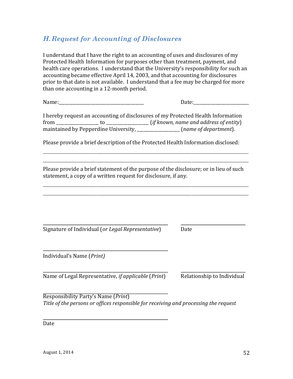# *H.Request for Accounting of Disclosures*

I understand that I have the right to an accounting of uses and disclosures of my Protected Health Information for purposes other than treatment, payment, and health care operations. I understand that the University's responsibility for such an accounting became effective April 14, 2003, and that accounting for disclosures prior to that date is not available. I understand that a fee may be charged for more than one accounting in a 12-month period.

Name:\_\_\_\_\_\_\_\_\_\_\_\_\_\_\_\_\_\_\_\_\_\_\_\_\_\_\_\_\_\_\_\_\_\_\_\_\_\_\_\_ Date:\_\_\_\_\_\_\_\_\_\_\_\_\_\_\_\_\_\_\_\_\_\_\_\_\_\_

| I hereby request an accounting of disclosures of my Protected Health Information |                                      |                                          |  |
|----------------------------------------------------------------------------------|--------------------------------------|------------------------------------------|--|
| from                                                                             |                                      | $(if known, name and address of entity)$ |  |
|                                                                                  | maintained by Pepperdine University, | (name of department).                    |  |

Please provide a brief description of the Protected Health Information disclosed:

\_\_\_\_\_\_\_\_\_\_\_\_\_\_\_\_\_\_\_\_\_\_\_\_\_\_\_\_\_\_\_\_\_\_\_\_\_\_\_\_\_\_\_\_\_\_\_\_\_\_\_\_\_\_\_\_\_\_\_\_\_\_\_\_\_\_\_\_\_\_\_\_\_\_\_\_\_\_\_\_\_\_\_\_\_\_\_\_\_\_\_\_\_\_\_\_\_\_\_\_\_\_\_\_\_\_\_\_\_\_\_\_\_\_\_\_ \_\_\_\_\_\_\_\_\_\_\_\_\_\_\_\_\_\_\_\_\_\_\_\_\_\_\_\_\_\_\_\_\_\_\_\_\_\_\_\_\_\_\_\_\_\_\_\_\_\_\_\_\_\_\_\_\_\_\_\_\_\_\_\_\_\_\_\_\_\_\_\_\_\_\_\_\_\_\_\_\_\_\_\_\_\_\_\_\_\_\_\_\_\_\_\_\_\_\_\_\_\_\_\_\_\_\_\_\_\_\_\_\_\_\_\_

Please provide a brief statement of the purpose of the disclosure; or in lieu of such statement, a copy of a written request for disclosure, if any.

\_\_\_\_\_\_\_\_\_\_\_\_\_\_\_\_\_\_\_\_\_\_\_\_\_\_\_\_\_\_\_\_\_\_\_\_\_\_\_\_\_\_\_\_\_\_\_\_\_\_\_\_\_\_\_\_\_\_\_\_\_\_\_\_\_\_\_\_\_\_\_\_\_\_\_\_\_\_\_\_\_\_\_\_\_\_\_\_\_\_\_\_\_\_\_\_\_\_\_\_\_\_\_\_\_\_\_\_\_\_\_\_\_\_\_\_ \_\_\_\_\_\_\_\_\_\_\_\_\_\_\_\_\_\_\_\_\_\_\_\_\_\_\_\_\_\_\_\_\_\_\_\_\_\_\_\_\_\_\_\_\_\_\_\_\_\_\_\_\_\_\_\_\_\_\_\_\_\_\_\_\_\_\_\_\_\_\_\_\_\_\_\_\_\_\_\_\_\_\_\_\_\_\_\_\_\_\_\_\_\_\_\_\_\_\_\_\_\_\_\_\_\_\_\_\_\_\_\_\_\_\_\_

Signature of Individual (or Legal Representative) Date

Individual's Name (*Print)*

Name of Legal Representative, *if applicable* (*Print*) Relationship to Individual

Responsibility Party's Name (*Print*) *Title* of the persons or offices responsible for receiving and processing the request

Date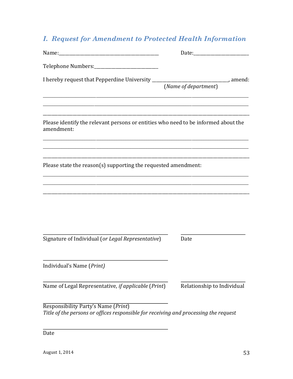# **I. Request for Amendment to Protected Health Information**

| I hereby request that Pepperdine University _________________________________, amend:                                       | (Name of department)       |
|-----------------------------------------------------------------------------------------------------------------------------|----------------------------|
| Please identify the relevant persons or entities who need to be informed about the<br>amendment:                            |                            |
| Please state the reason(s) supporting the requested amendment:                                                              |                            |
|                                                                                                                             |                            |
| Signature of Individual (or Legal Representative)                                                                           | Date                       |
| Individual's Name (Print)                                                                                                   |                            |
| Name of Legal Representative, if applicable (Print)                                                                         | Relationship to Individual |
| Responsibility Party's Name (Print)<br>Title of the persons or offices responsible for receiving and processing the request |                            |
| Date                                                                                                                        |                            |